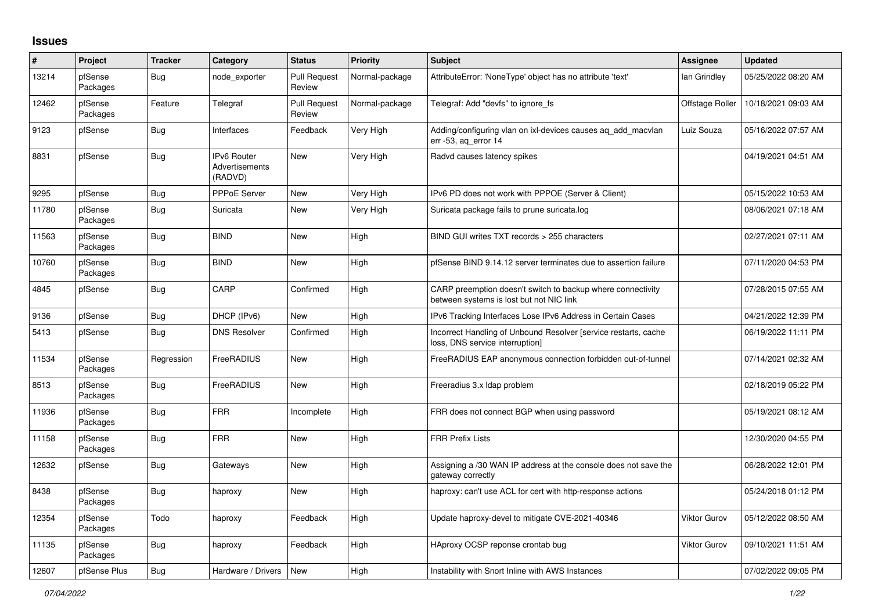## **Issues**

| $\vert$ # | Project             | <b>Tracker</b> | Category                                        | <b>Status</b>                 | <b>Priority</b> | <b>Subject</b>                                                                                          | Assignee            | <b>Updated</b>      |
|-----------|---------------------|----------------|-------------------------------------------------|-------------------------------|-----------------|---------------------------------------------------------------------------------------------------------|---------------------|---------------------|
| 13214     | pfSense<br>Packages | Bug            | node exporter                                   | <b>Pull Request</b><br>Review | Normal-package  | AttributeError: 'NoneType' object has no attribute 'text'                                               | lan Grindley        | 05/25/2022 08:20 AM |
| 12462     | pfSense<br>Packages | Feature        | Telegraf                                        | <b>Pull Request</b><br>Review | Normal-package  | Telegraf: Add "devfs" to ignore_fs                                                                      | Offstage Roller     | 10/18/2021 09:03 AM |
| 9123      | pfSense             | <b>Bug</b>     | Interfaces                                      | Feedback                      | Very High       | Adding/configuring vlan on ixi-devices causes ag add macylan<br>err -53, aq_error 14                    | Luiz Souza          | 05/16/2022 07:57 AM |
| 8831      | pfSense             | Bug            | <b>IPv6 Router</b><br>Advertisements<br>(RADVD) | <b>New</b>                    | Very High       | Radvd causes latency spikes                                                                             |                     | 04/19/2021 04:51 AM |
| 9295      | pfSense             | Bug            | <b>PPPoE Server</b>                             | New                           | Very High       | IPv6 PD does not work with PPPOE (Server & Client)                                                      |                     | 05/15/2022 10:53 AM |
| 11780     | pfSense<br>Packages | <b>Bug</b>     | Suricata                                        | New                           | Very High       | Suricata package fails to prune suricata.log                                                            |                     | 08/06/2021 07:18 AM |
| 11563     | pfSense<br>Packages | <b>Bug</b>     | <b>BIND</b>                                     | <b>New</b>                    | High            | BIND GUI writes TXT records > 255 characters                                                            |                     | 02/27/2021 07:11 AM |
| 10760     | pfSense<br>Packages | <b>Bug</b>     | <b>BIND</b>                                     | New                           | High            | pfSense BIND 9.14.12 server terminates due to assertion failure                                         |                     | 07/11/2020 04:53 PM |
| 4845      | pfSense             | Bug            | CARP                                            | Confirmed                     | High            | CARP preemption doesn't switch to backup where connectivity<br>between systems is lost but not NIC link |                     | 07/28/2015 07:55 AM |
| 9136      | pfSense             | Bug            | DHCP (IPv6)                                     | <b>New</b>                    | High            | IPv6 Tracking Interfaces Lose IPv6 Address in Certain Cases                                             |                     | 04/21/2022 12:39 PM |
| 5413      | pfSense             | <b>Bug</b>     | <b>DNS Resolver</b>                             | Confirmed                     | High            | Incorrect Handling of Unbound Resolver [service restarts, cache<br>loss, DNS service interruption]      |                     | 06/19/2022 11:11 PM |
| 11534     | pfSense<br>Packages | Regression     | FreeRADIUS                                      | <b>New</b>                    | High            | FreeRADIUS EAP anonymous connection forbidden out-of-tunnel                                             |                     | 07/14/2021 02:32 AM |
| 8513      | pfSense<br>Packages | <b>Bug</b>     | FreeRADIUS                                      | <b>New</b>                    | High            | Freeradius 3.x Idap problem                                                                             |                     | 02/18/2019 05:22 PM |
| 11936     | pfSense<br>Packages | Bug            | <b>FRR</b>                                      | Incomplete                    | High            | FRR does not connect BGP when using password                                                            |                     | 05/19/2021 08:12 AM |
| 11158     | pfSense<br>Packages | Bug            | <b>FRR</b>                                      | New                           | High            | <b>FRR Prefix Lists</b>                                                                                 |                     | 12/30/2020 04:55 PM |
| 12632     | pfSense             | <b>Bug</b>     | Gateways                                        | New                           | High            | Assigning a /30 WAN IP address at the console does not save the<br>gateway correctly                    |                     | 06/28/2022 12:01 PM |
| 8438      | pfSense<br>Packages | Bug            | haproxy                                         | <b>New</b>                    | High            | haproxy: can't use ACL for cert with http-response actions                                              |                     | 05/24/2018 01:12 PM |
| 12354     | pfSense<br>Packages | Todo           | haproxy                                         | Feedback                      | High            | Update haproxy-devel to mitigate CVE-2021-40346                                                         | <b>Viktor Gurov</b> | 05/12/2022 08:50 AM |
| 11135     | pfSense<br>Packages | Bug            | haproxy                                         | Feedback                      | High            | HAproxy OCSP reponse crontab bug                                                                        | <b>Viktor Gurov</b> | 09/10/2021 11:51 AM |
| 12607     | pfSense Plus        | Bug            | Hardware / Drivers                              | New                           | High            | Instability with Snort Inline with AWS Instances                                                        |                     | 07/02/2022 09:05 PM |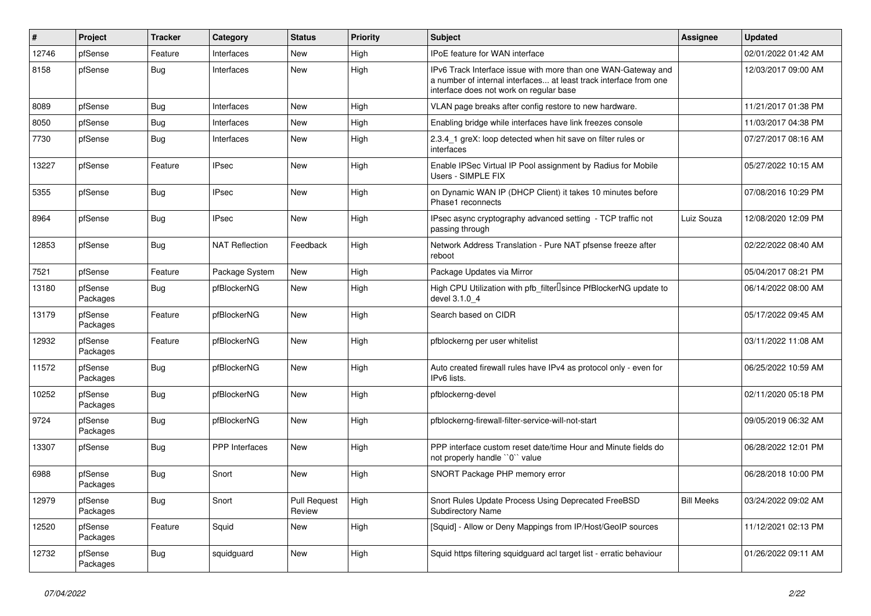| #     | Project             | <b>Tracker</b> | Category              | <b>Status</b>                 | Priority | <b>Subject</b>                                                                                                                                                                | <b>Assignee</b>   | <b>Updated</b>      |
|-------|---------------------|----------------|-----------------------|-------------------------------|----------|-------------------------------------------------------------------------------------------------------------------------------------------------------------------------------|-------------------|---------------------|
| 12746 | pfSense             | Feature        | Interfaces            | <b>New</b>                    | High     | IPoE feature for WAN interface                                                                                                                                                |                   | 02/01/2022 01:42 AM |
| 8158  | pfSense             | <b>Bug</b>     | Interfaces            | <b>New</b>                    | High     | IPv6 Track Interface issue with more than one WAN-Gateway and<br>a number of internal interfaces at least track interface from one<br>interface does not work on regular base |                   | 12/03/2017 09:00 AM |
| 8089  | pfSense             | <b>Bug</b>     | Interfaces            | <b>New</b>                    | High     | VLAN page breaks after config restore to new hardware.                                                                                                                        |                   | 11/21/2017 01:38 PM |
| 8050  | pfSense             | <b>Bug</b>     | Interfaces            | <b>New</b>                    | High     | Enabling bridge while interfaces have link freezes console                                                                                                                    |                   | 11/03/2017 04:38 PM |
| 7730  | pfSense             | <b>Bug</b>     | Interfaces            | <b>New</b>                    | High     | 2.3.4 1 greX: loop detected when hit save on filter rules or<br>interfaces                                                                                                    |                   | 07/27/2017 08:16 AM |
| 13227 | pfSense             | Feature        | <b>IPsec</b>          | <b>New</b>                    | High     | Enable IPSec Virtual IP Pool assignment by Radius for Mobile<br>Users - SIMPLE FIX                                                                                            |                   | 05/27/2022 10:15 AM |
| 5355  | pfSense             | <b>Bug</b>     | <b>IPsec</b>          | <b>New</b>                    | High     | on Dynamic WAN IP (DHCP Client) it takes 10 minutes before<br>Phase1 reconnects                                                                                               |                   | 07/08/2016 10:29 PM |
| 8964  | pfSense             | <b>Bug</b>     | <b>IPsec</b>          | <b>New</b>                    | High     | IPsec async cryptography advanced setting - TCP traffic not<br>passing through                                                                                                | Luiz Souza        | 12/08/2020 12:09 PM |
| 12853 | pfSense             | <b>Bug</b>     | <b>NAT Reflection</b> | Feedback                      | High     | Network Address Translation - Pure NAT pfsense freeze after<br>reboot                                                                                                         |                   | 02/22/2022 08:40 AM |
| 7521  | pfSense             | Feature        | Package System        | <b>New</b>                    | High     | Package Updates via Mirror                                                                                                                                                    |                   | 05/04/2017 08:21 PM |
| 13180 | pfSense<br>Packages | Bug            | pfBlockerNG           | <b>New</b>                    | High     | High CPU Utilization with pfb_filter <sup>[]</sup> since PfBlockerNG update to<br>devel 3.1.0 4                                                                               |                   | 06/14/2022 08:00 AM |
| 13179 | pfSense<br>Packages | Feature        | pfBlockerNG           | <b>New</b>                    | High     | Search based on CIDR                                                                                                                                                          |                   | 05/17/2022 09:45 AM |
| 12932 | pfSense<br>Packages | Feature        | pfBlockerNG           | <b>New</b>                    | High     | pfblockerng per user whitelist                                                                                                                                                |                   | 03/11/2022 11:08 AM |
| 11572 | pfSense<br>Packages | <b>Bug</b>     | pfBlockerNG           | <b>New</b>                    | High     | Auto created firewall rules have IPv4 as protocol only - even for<br>IPv6 lists.                                                                                              |                   | 06/25/2022 10:59 AM |
| 10252 | pfSense<br>Packages | Bug            | pfBlockerNG           | <b>New</b>                    | High     | pfblockerng-devel                                                                                                                                                             |                   | 02/11/2020 05:18 PM |
| 9724  | pfSense<br>Packages | <b>Bug</b>     | pfBlockerNG           | <b>New</b>                    | High     | pfblockerng-firewall-filter-service-will-not-start                                                                                                                            |                   | 09/05/2019 06:32 AM |
| 13307 | pfSense             | <b>Bug</b>     | <b>PPP</b> Interfaces | <b>New</b>                    | High     | PPP interface custom reset date/time Hour and Minute fields do<br>not properly handle "0" value                                                                               |                   | 06/28/2022 12:01 PM |
| 6988  | pfSense<br>Packages | <b>Bug</b>     | Snort                 | <b>New</b>                    | High     | SNORT Package PHP memory error                                                                                                                                                |                   | 06/28/2018 10:00 PM |
| 12979 | pfSense<br>Packages | <b>Bug</b>     | Snort                 | <b>Pull Request</b><br>Review | High     | Snort Rules Update Process Using Deprecated FreeBSD<br><b>Subdirectory Name</b>                                                                                               | <b>Bill Meeks</b> | 03/24/2022 09:02 AM |
| 12520 | pfSense<br>Packages | Feature        | Squid                 | <b>New</b>                    | High     | [Squid] - Allow or Deny Mappings from IP/Host/GeoIP sources                                                                                                                   |                   | 11/12/2021 02:13 PM |
| 12732 | pfSense<br>Packages | Bug            | squidguard            | <b>New</b>                    | High     | Squid https filtering squidguard acl target list - erratic behaviour                                                                                                          |                   | 01/26/2022 09:11 AM |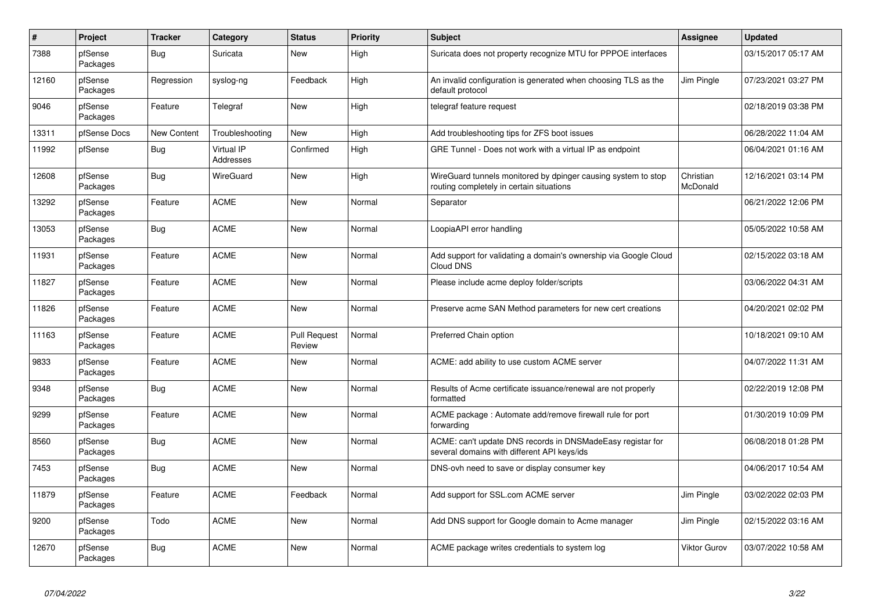| $\sharp$ | Project             | <b>Tracker</b>     | Category                | <b>Status</b>                 | <b>Priority</b> | <b>Subject</b>                                                                                            | Assignee              | <b>Updated</b>      |
|----------|---------------------|--------------------|-------------------------|-------------------------------|-----------------|-----------------------------------------------------------------------------------------------------------|-----------------------|---------------------|
| 7388     | pfSense<br>Packages | Bug                | Suricata                | New                           | High            | Suricata does not property recognize MTU for PPPOE interfaces                                             |                       | 03/15/2017 05:17 AM |
| 12160    | pfSense<br>Packages | Regression         | syslog-ng               | Feedback                      | High            | An invalid configuration is generated when choosing TLS as the<br>default protocol                        | Jim Pingle            | 07/23/2021 03:27 PM |
| 9046     | pfSense<br>Packages | Feature            | Telegraf                | <b>New</b>                    | High            | telegraf feature request                                                                                  |                       | 02/18/2019 03:38 PM |
| 13311    | pfSense Docs        | <b>New Content</b> | Troubleshooting         | <b>New</b>                    | High            | Add troubleshooting tips for ZFS boot issues                                                              |                       | 06/28/2022 11:04 AM |
| 11992    | pfSense             | <b>Bug</b>         | Virtual IP<br>Addresses | Confirmed                     | High            | GRE Tunnel - Does not work with a virtual IP as endpoint                                                  |                       | 06/04/2021 01:16 AM |
| 12608    | pfSense<br>Packages | Bug                | WireGuard               | <b>New</b>                    | High            | WireGuard tunnels monitored by dpinger causing system to stop<br>routing completely in certain situations | Christian<br>McDonald | 12/16/2021 03:14 PM |
| 13292    | pfSense<br>Packages | Feature            | <b>ACME</b>             | New                           | Normal          | Separator                                                                                                 |                       | 06/21/2022 12:06 PM |
| 13053    | pfSense<br>Packages | Bug                | <b>ACME</b>             | New                           | Normal          | LoopiaAPI error handling                                                                                  |                       | 05/05/2022 10:58 AM |
| 11931    | pfSense<br>Packages | Feature            | <b>ACME</b>             | <b>New</b>                    | Normal          | Add support for validating a domain's ownership via Google Cloud<br>Cloud DNS                             |                       | 02/15/2022 03:18 AM |
| 11827    | pfSense<br>Packages | Feature            | <b>ACME</b>             | <b>New</b>                    | Normal          | Please include acme deploy folder/scripts                                                                 |                       | 03/06/2022 04:31 AM |
| 11826    | pfSense<br>Packages | Feature            | <b>ACME</b>             | <b>New</b>                    | Normal          | Preserve acme SAN Method parameters for new cert creations                                                |                       | 04/20/2021 02:02 PM |
| 11163    | pfSense<br>Packages | Feature            | <b>ACME</b>             | <b>Pull Request</b><br>Review | Normal          | Preferred Chain option                                                                                    |                       | 10/18/2021 09:10 AM |
| 9833     | pfSense<br>Packages | Feature            | <b>ACME</b>             | New                           | Normal          | ACME: add ability to use custom ACME server                                                               |                       | 04/07/2022 11:31 AM |
| 9348     | pfSense<br>Packages | <b>Bug</b>         | <b>ACME</b>             | <b>New</b>                    | Normal          | Results of Acme certificate issuance/renewal are not properly<br>formatted                                |                       | 02/22/2019 12:08 PM |
| 9299     | pfSense<br>Packages | Feature            | <b>ACME</b>             | New                           | Normal          | ACME package: Automate add/remove firewall rule for port<br>forwarding                                    |                       | 01/30/2019 10:09 PM |
| 8560     | pfSense<br>Packages | Bug                | <b>ACME</b>             | <b>New</b>                    | Normal          | ACME: can't update DNS records in DNSMadeEasy registar for<br>several domains with different API keys/ids |                       | 06/08/2018 01:28 PM |
| 7453     | pfSense<br>Packages | Bug                | <b>ACME</b>             | <b>New</b>                    | Normal          | DNS-ovh need to save or display consumer key                                                              |                       | 04/06/2017 10:54 AM |
| 11879    | pfSense<br>Packages | Feature            | <b>ACME</b>             | Feedback                      | Normal          | Add support for SSL.com ACME server                                                                       | Jim Pingle            | 03/02/2022 02:03 PM |
| 9200     | pfSense<br>Packages | Todo               | <b>ACME</b>             | <b>New</b>                    | Normal          | Add DNS support for Google domain to Acme manager                                                         | Jim Pingle            | 02/15/2022 03:16 AM |
| 12670    | pfSense<br>Packages | Bug                | <b>ACME</b>             | New                           | Normal          | ACME package writes credentials to system log                                                             | Viktor Gurov          | 03/07/2022 10:58 AM |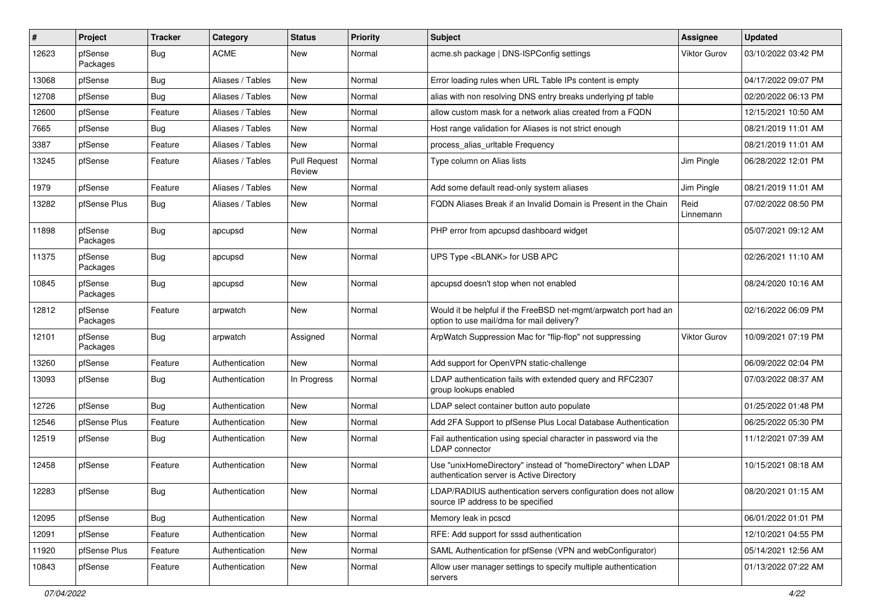| #     | Project             | <b>Tracker</b> | Category         | <b>Status</b>                 | <b>Priority</b> | <b>Subject</b>                                                                                                | Assignee          | <b>Updated</b>      |
|-------|---------------------|----------------|------------------|-------------------------------|-----------------|---------------------------------------------------------------------------------------------------------------|-------------------|---------------------|
| 12623 | pfSense<br>Packages | Bug            | <b>ACME</b>      | New                           | Normal          | acme.sh package   DNS-ISPConfig settings                                                                      | Viktor Gurov      | 03/10/2022 03:42 PM |
| 13068 | pfSense             | Bug            | Aliases / Tables | New                           | Normal          | Error loading rules when URL Table IPs content is empty                                                       |                   | 04/17/2022 09:07 PM |
| 12708 | pfSense             | Bug            | Aliases / Tables | New                           | Normal          | alias with non resolving DNS entry breaks underlying pf table                                                 |                   | 02/20/2022 06:13 PM |
| 12600 | pfSense             | Feature        | Aliases / Tables | <b>New</b>                    | Normal          | allow custom mask for a network alias created from a FQDN                                                     |                   | 12/15/2021 10:50 AM |
| 7665  | pfSense             | Bug            | Aliases / Tables | New                           | Normal          | Host range validation for Aliases is not strict enough                                                        |                   | 08/21/2019 11:01 AM |
| 3387  | pfSense             | Feature        | Aliases / Tables | New                           | Normal          | process alias urltable Frequency                                                                              |                   | 08/21/2019 11:01 AM |
| 13245 | pfSense             | Feature        | Aliases / Tables | <b>Pull Request</b><br>Review | Normal          | Type column on Alias lists                                                                                    | Jim Pingle        | 06/28/2022 12:01 PM |
| 1979  | pfSense             | Feature        | Aliases / Tables | New                           | Normal          | Add some default read-only system aliases                                                                     | Jim Pingle        | 08/21/2019 11:01 AM |
| 13282 | pfSense Plus        | Bug            | Aliases / Tables | New                           | Normal          | FQDN Aliases Break if an Invalid Domain is Present in the Chain                                               | Reid<br>Linnemann | 07/02/2022 08:50 PM |
| 11898 | pfSense<br>Packages | Bug            | apcupsd          | <b>New</b>                    | Normal          | PHP error from apcupsd dashboard widget                                                                       |                   | 05/07/2021 09:12 AM |
| 11375 | pfSense<br>Packages | Bug            | apcupsd          | New                           | Normal          | UPS Type <blank> for USB APC</blank>                                                                          |                   | 02/26/2021 11:10 AM |
| 10845 | pfSense<br>Packages | Bug            | apcupsd          | New                           | Normal          | apcupsd doesn't stop when not enabled                                                                         |                   | 08/24/2020 10:16 AM |
| 12812 | pfSense<br>Packages | Feature        | arpwatch         | New                           | Normal          | Would it be helpful if the FreeBSD net-mgmt/arpwatch port had an<br>option to use mail/dma for mail delivery? |                   | 02/16/2022 06:09 PM |
| 12101 | pfSense<br>Packages | Bug            | arpwatch         | Assigned                      | Normal          | ArpWatch Suppression Mac for "flip-flop" not suppressing                                                      | Viktor Gurov      | 10/09/2021 07:19 PM |
| 13260 | pfSense             | Feature        | Authentication   | New                           | Normal          | Add support for OpenVPN static-challenge                                                                      |                   | 06/09/2022 02:04 PM |
| 13093 | pfSense             | Bug            | Authentication   | In Progress                   | Normal          | LDAP authentication fails with extended query and RFC2307<br>group lookups enabled                            |                   | 07/03/2022 08:37 AM |
| 12726 | pfSense             | Bug            | Authentication   | New                           | Normal          | LDAP select container button auto populate                                                                    |                   | 01/25/2022 01:48 PM |
| 12546 | pfSense Plus        | Feature        | Authentication   | <b>New</b>                    | Normal          | Add 2FA Support to pfSense Plus Local Database Authentication                                                 |                   | 06/25/2022 05:30 PM |
| 12519 | pfSense             | Bug            | Authentication   | New                           | Normal          | Fail authentication using special character in password via the<br>LDAP connector                             |                   | 11/12/2021 07:39 AM |
| 12458 | pfSense             | Feature        | Authentication   | <b>New</b>                    | Normal          | Use "unixHomeDirectory" instead of "homeDirectory" when LDAP<br>authentication server is Active Directory     |                   | 10/15/2021 08:18 AM |
| 12283 | pfSense             | <b>Bug</b>     | Authentication   | New                           | Normal          | LDAP/RADIUS authentication servers configuration does not allow<br>source IP address to be specified          |                   | 08/20/2021 01:15 AM |
| 12095 | pfSense             | <b>Bug</b>     | Authentication   | <b>New</b>                    | Normal          | Memory leak in pcscd                                                                                          |                   | 06/01/2022 01:01 PM |
| 12091 | pfSense             | Feature        | Authentication   | New                           | Normal          | RFE: Add support for sssd authentication                                                                      |                   | 12/10/2021 04:55 PM |
| 11920 | pfSense Plus        | Feature        | Authentication   | New                           | Normal          | SAML Authentication for pfSense (VPN and webConfigurator)                                                     |                   | 05/14/2021 12:56 AM |
| 10843 | pfSense             | Feature        | Authentication   | New                           | Normal          | Allow user manager settings to specify multiple authentication<br>servers                                     |                   | 01/13/2022 07:22 AM |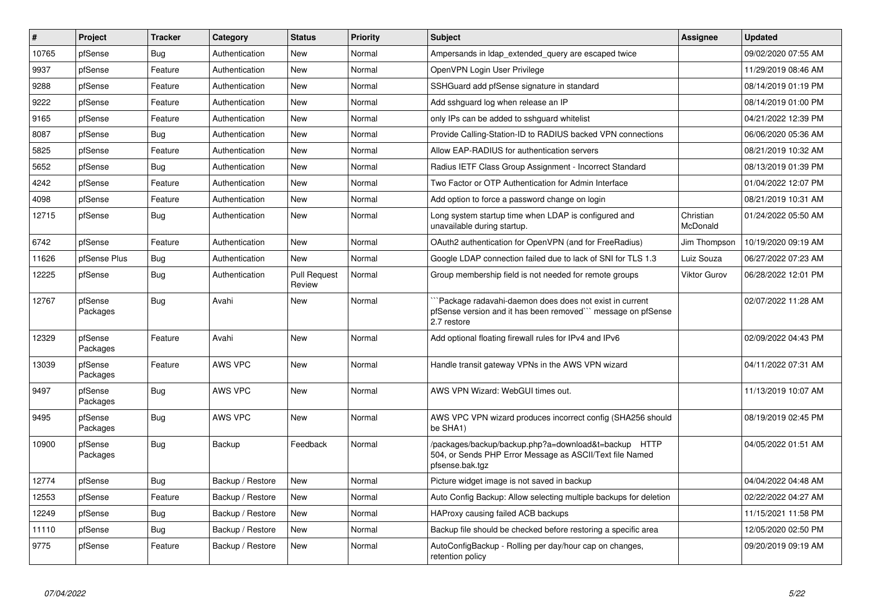| $\vert$ # | Project             | <b>Tracker</b> | Category         | <b>Status</b>                 | <b>Priority</b> | <b>Subject</b>                                                                                                                       | <b>Assignee</b>       | <b>Updated</b>      |
|-----------|---------------------|----------------|------------------|-------------------------------|-----------------|--------------------------------------------------------------------------------------------------------------------------------------|-----------------------|---------------------|
| 10765     | pfSense             | Bug            | Authentication   | New                           | Normal          | Ampersands in Idap extended query are escaped twice                                                                                  |                       | 09/02/2020 07:55 AM |
| 9937      | pfSense             | Feature        | Authentication   | <b>New</b>                    | Normal          | OpenVPN Login User Privilege                                                                                                         |                       | 11/29/2019 08:46 AM |
| 9288      | pfSense             | Feature        | Authentication   | New                           | Normal          | SSHGuard add pfSense signature in standard                                                                                           |                       | 08/14/2019 01:19 PM |
| 9222      | pfSense             | Feature        | Authentication   | New                           | Normal          | Add sshguard log when release an IP                                                                                                  |                       | 08/14/2019 01:00 PM |
| 9165      | pfSense             | Feature        | Authentication   | New                           | Normal          | only IPs can be added to sshguard whitelist                                                                                          |                       | 04/21/2022 12:39 PM |
| 8087      | pfSense             | Bug            | Authentication   | New                           | Normal          | Provide Calling-Station-ID to RADIUS backed VPN connections                                                                          |                       | 06/06/2020 05:36 AM |
| 5825      | pfSense             | Feature        | Authentication   | <b>New</b>                    | Normal          | Allow EAP-RADIUS for authentication servers                                                                                          |                       | 08/21/2019 10:32 AM |
| 5652      | pfSense             | Bug            | Authentication   | New                           | Normal          | Radius IETF Class Group Assignment - Incorrect Standard                                                                              |                       | 08/13/2019 01:39 PM |
| 4242      | pfSense             | Feature        | Authentication   | <b>New</b>                    | Normal          | Two Factor or OTP Authentication for Admin Interface                                                                                 |                       | 01/04/2022 12:07 PM |
| 4098      | pfSense             | Feature        | Authentication   | New                           | Normal          | Add option to force a password change on login                                                                                       |                       | 08/21/2019 10:31 AM |
| 12715     | pfSense             | <b>Bug</b>     | Authentication   | New                           | Normal          | Long system startup time when LDAP is configured and<br>unavailable during startup.                                                  | Christian<br>McDonald | 01/24/2022 05:50 AM |
| 6742      | pfSense             | Feature        | Authentication   | <b>New</b>                    | Normal          | OAuth2 authentication for OpenVPN (and for FreeRadius)                                                                               | Jim Thompson          | 10/19/2020 09:19 AM |
| 11626     | pfSense Plus        | Bug            | Authentication   | <b>New</b>                    | Normal          | Google LDAP connection failed due to lack of SNI for TLS 1.3                                                                         | Luiz Souza            | 06/27/2022 07:23 AM |
| 12225     | pfSense             | Bug            | Authentication   | <b>Pull Request</b><br>Review | Normal          | Group membership field is not needed for remote groups                                                                               | Viktor Gurov          | 06/28/2022 12:01 PM |
| 12767     | pfSense<br>Packages | Bug            | Avahi            | <b>New</b>                    | Normal          | Package radavahi-daemon does does not exist in current<br>pfSense version and it has been removed" message on pfSense<br>2.7 restore |                       | 02/07/2022 11:28 AM |
| 12329     | pfSense<br>Packages | Feature        | Avahi            | <b>New</b>                    | Normal          | Add optional floating firewall rules for IPv4 and IPv6                                                                               |                       | 02/09/2022 04:43 PM |
| 13039     | pfSense<br>Packages | Feature        | <b>AWS VPC</b>   | <b>New</b>                    | Normal          | Handle transit gateway VPNs in the AWS VPN wizard                                                                                    |                       | 04/11/2022 07:31 AM |
| 9497      | pfSense<br>Packages | Bug            | <b>AWS VPC</b>   | <b>New</b>                    | Normal          | AWS VPN Wizard: WebGUI times out.                                                                                                    |                       | 11/13/2019 10:07 AM |
| 9495      | pfSense<br>Packages | Bug            | <b>AWS VPC</b>   | <b>New</b>                    | Normal          | AWS VPC VPN wizard produces incorrect config (SHA256 should<br>be SHA1)                                                              |                       | 08/19/2019 02:45 PM |
| 10900     | pfSense<br>Packages | Bug            | Backup           | Feedback                      | Normal          | /packages/backup/backup.php?a=download&t=backup HTTP<br>504, or Sends PHP Error Message as ASCII/Text file Named<br>pfsense.bak.tgz  |                       | 04/05/2022 01:51 AM |
| 12774     | pfSense             | Bug            | Backup / Restore | New                           | Normal          | Picture widget image is not saved in backup                                                                                          |                       | 04/04/2022 04:48 AM |
| 12553     | pfSense             | Feature        | Backup / Restore | New                           | Normal          | Auto Config Backup: Allow selecting multiple backups for deletion                                                                    |                       | 02/22/2022 04:27 AM |
| 12249     | pfSense             | <b>Bug</b>     | Backup / Restore | New                           | Normal          | HAProxy causing failed ACB backups                                                                                                   |                       | 11/15/2021 11:58 PM |
| 11110     | pfSense             | <b>Bug</b>     | Backup / Restore | New                           | Normal          | Backup file should be checked before restoring a specific area                                                                       |                       | 12/05/2020 02:50 PM |
| 9775      | pfSense             | Feature        | Backup / Restore | New                           | Normal          | AutoConfigBackup - Rolling per day/hour cap on changes,<br>retention policy                                                          |                       | 09/20/2019 09:19 AM |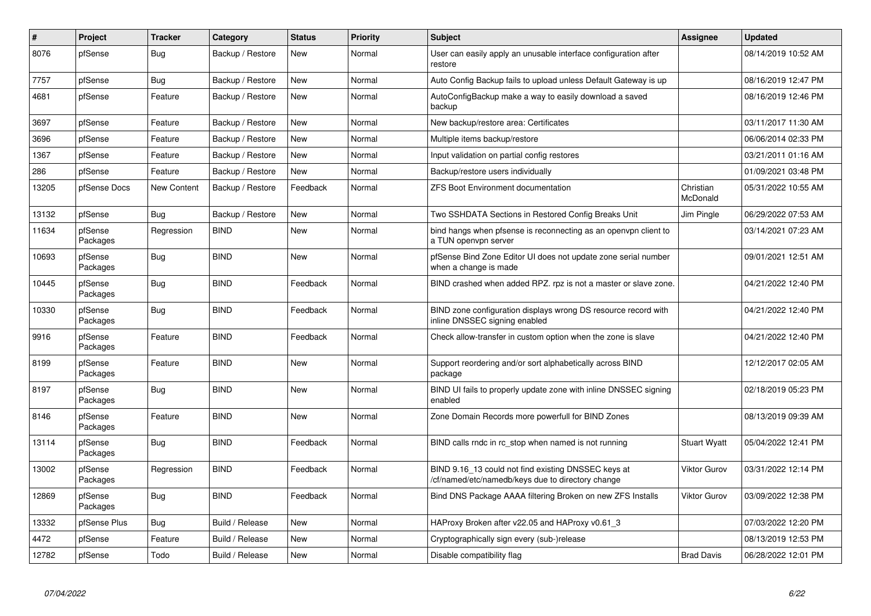| $\vert$ # | Project             | <b>Tracker</b>     | Category         | <b>Status</b> | <b>Priority</b> | <b>Subject</b>                                                                                           | <b>Assignee</b>       | <b>Updated</b>      |
|-----------|---------------------|--------------------|------------------|---------------|-----------------|----------------------------------------------------------------------------------------------------------|-----------------------|---------------------|
| 8076      | pfSense             | <b>Bug</b>         | Backup / Restore | <b>New</b>    | Normal          | User can easily apply an unusable interface configuration after<br>restore                               |                       | 08/14/2019 10:52 AM |
| 7757      | pfSense             | <b>Bug</b>         | Backup / Restore | <b>New</b>    | Normal          | Auto Config Backup fails to upload unless Default Gateway is up                                          |                       | 08/16/2019 12:47 PM |
| 4681      | pfSense             | Feature            | Backup / Restore | <b>New</b>    | Normal          | AutoConfigBackup make a way to easily download a saved<br>backup                                         |                       | 08/16/2019 12:46 PM |
| 3697      | pfSense             | Feature            | Backup / Restore | New           | Normal          | New backup/restore area: Certificates                                                                    |                       | 03/11/2017 11:30 AM |
| 3696      | pfSense             | Feature            | Backup / Restore | <b>New</b>    | Normal          | Multiple items backup/restore                                                                            |                       | 06/06/2014 02:33 PM |
| 1367      | pfSense             | Feature            | Backup / Restore | <b>New</b>    | Normal          | Input validation on partial config restores                                                              |                       | 03/21/2011 01:16 AM |
| 286       | pfSense             | Feature            | Backup / Restore | <b>New</b>    | Normal          | Backup/restore users individually                                                                        |                       | 01/09/2021 03:48 PM |
| 13205     | pfSense Docs        | <b>New Content</b> | Backup / Restore | Feedback      | Normal          | <b>ZFS Boot Environment documentation</b>                                                                | Christian<br>McDonald | 05/31/2022 10:55 AM |
| 13132     | pfSense             | Bug                | Backup / Restore | <b>New</b>    | Normal          | Two SSHDATA Sections in Restored Config Breaks Unit                                                      | Jim Pingle            | 06/29/2022 07:53 AM |
| 11634     | pfSense<br>Packages | Regression         | <b>BIND</b>      | <b>New</b>    | Normal          | bind hangs when pfsense is reconnecting as an openypn client to<br>a TUN openvpn server                  |                       | 03/14/2021 07:23 AM |
| 10693     | pfSense<br>Packages | <b>Bug</b>         | <b>BIND</b>      | <b>New</b>    | Normal          | pfSense Bind Zone Editor UI does not update zone serial number<br>when a change is made                  |                       | 09/01/2021 12:51 AM |
| 10445     | pfSense<br>Packages | Bug                | <b>BIND</b>      | Feedback      | Normal          | BIND crashed when added RPZ. rpz is not a master or slave zone.                                          |                       | 04/21/2022 12:40 PM |
| 10330     | pfSense<br>Packages | <b>Bug</b>         | <b>BIND</b>      | Feedback      | Normal          | BIND zone configuration displays wrong DS resource record with<br>inline DNSSEC signing enabled          |                       | 04/21/2022 12:40 PM |
| 9916      | pfSense<br>Packages | Feature            | <b>BIND</b>      | Feedback      | Normal          | Check allow-transfer in custom option when the zone is slave                                             |                       | 04/21/2022 12:40 PM |
| 8199      | pfSense<br>Packages | Feature            | <b>BIND</b>      | <b>New</b>    | Normal          | Support reordering and/or sort alphabetically across BIND<br>package                                     |                       | 12/12/2017 02:05 AM |
| 8197      | pfSense<br>Packages | Bug                | <b>BIND</b>      | <b>New</b>    | Normal          | BIND UI fails to properly update zone with inline DNSSEC signing<br>enabled                              |                       | 02/18/2019 05:23 PM |
| 8146      | pfSense<br>Packages | Feature            | <b>BIND</b>      | <b>New</b>    | Normal          | Zone Domain Records more powerfull for BIND Zones                                                        |                       | 08/13/2019 09:39 AM |
| 13114     | pfSense<br>Packages | <b>Bug</b>         | <b>BIND</b>      | Feedback      | Normal          | BIND calls rndc in rc stop when named is not running                                                     | <b>Stuart Wyatt</b>   | 05/04/2022 12:41 PM |
| 13002     | pfSense<br>Packages | Regression         | <b>BIND</b>      | Feedback      | Normal          | BIND 9.16 13 could not find existing DNSSEC keys at<br>/cf/named/etc/namedb/keys due to directory change | <b>Viktor Gurov</b>   | 03/31/2022 12:14 PM |
| 12869     | pfSense<br>Packages | Bug                | <b>BIND</b>      | Feedback      | Normal          | Bind DNS Package AAAA filtering Broken on new ZFS Installs                                               | Viktor Gurov          | 03/09/2022 12:38 PM |
| 13332     | pfSense Plus        | Bug                | Build / Release  | <b>New</b>    | Normal          | HAProxy Broken after v22.05 and HAProxy v0.61 3                                                          |                       | 07/03/2022 12:20 PM |
| 4472      | pfSense             | Feature            | Build / Release  | <b>New</b>    | Normal          | Cryptographically sign every (sub-)release                                                               |                       | 08/13/2019 12:53 PM |
| 12782     | pfSense             | Todo               | Build / Release  | New           | Normal          | Disable compatibility flag                                                                               | <b>Brad Davis</b>     | 06/28/2022 12:01 PM |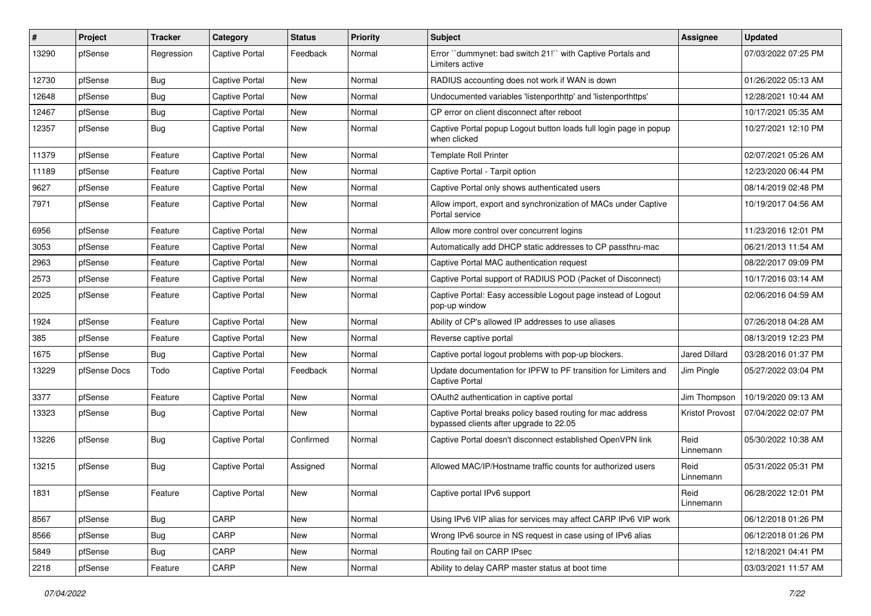| #     | Project      | <b>Tracker</b> | Category              | <b>Status</b> | <b>Priority</b> | <b>Subject</b>                                                                                        | Assignee               | <b>Updated</b>      |
|-------|--------------|----------------|-----------------------|---------------|-----------------|-------------------------------------------------------------------------------------------------------|------------------------|---------------------|
| 13290 | pfSense      | Regression     | <b>Captive Portal</b> | Feedback      | Normal          | Error "dummynet: bad switch 21!" with Captive Portals and<br>Limiters active                          |                        | 07/03/2022 07:25 PM |
| 12730 | pfSense      | Bug            | Captive Portal        | New           | Normal          | RADIUS accounting does not work if WAN is down                                                        |                        | 01/26/2022 05:13 AM |
| 12648 | pfSense      | Bug            | <b>Captive Portal</b> | New           | Normal          | Undocumented variables 'listenporthttp' and 'listenporthttps'                                         |                        | 12/28/2021 10:44 AM |
| 12467 | pfSense      | Bug            | <b>Captive Portal</b> | New           | Normal          | CP error on client disconnect after reboot                                                            |                        | 10/17/2021 05:35 AM |
| 12357 | pfSense      | Bug            | <b>Captive Portal</b> | New           | Normal          | Captive Portal popup Logout button loads full login page in popup<br>when clicked                     |                        | 10/27/2021 12:10 PM |
| 11379 | pfSense      | Feature        | <b>Captive Portal</b> | New           | Normal          | <b>Template Roll Printer</b>                                                                          |                        | 02/07/2021 05:26 AM |
| 11189 | pfSense      | Feature        | <b>Captive Portal</b> | New           | Normal          | Captive Portal - Tarpit option                                                                        |                        | 12/23/2020 06:44 PM |
| 9627  | pfSense      | Feature        | <b>Captive Portal</b> | New           | Normal          | Captive Portal only shows authenticated users                                                         |                        | 08/14/2019 02:48 PM |
| 7971  | pfSense      | Feature        | Captive Portal        | New           | Normal          | Allow import, export and synchronization of MACs under Captive<br>Portal service                      |                        | 10/19/2017 04:56 AM |
| 6956  | pfSense      | Feature        | <b>Captive Portal</b> | New           | Normal          | Allow more control over concurrent logins                                                             |                        | 11/23/2016 12:01 PM |
| 3053  | pfSense      | Feature        | <b>Captive Portal</b> | New           | Normal          | Automatically add DHCP static addresses to CP passthru-mac                                            |                        | 06/21/2013 11:54 AM |
| 2963  | pfSense      | Feature        | Captive Portal        | New           | Normal          | Captive Portal MAC authentication request                                                             |                        | 08/22/2017 09:09 PM |
| 2573  | pfSense      | Feature        | <b>Captive Portal</b> | New           | Normal          | Captive Portal support of RADIUS POD (Packet of Disconnect)                                           |                        | 10/17/2016 03:14 AM |
| 2025  | pfSense      | Feature        | <b>Captive Portal</b> | New           | Normal          | Captive Portal: Easy accessible Logout page instead of Logout<br>pop-up window                        |                        | 02/06/2016 04:59 AM |
| 1924  | pfSense      | Feature        | <b>Captive Portal</b> | New           | Normal          | Ability of CP's allowed IP addresses to use aliases                                                   |                        | 07/26/2018 04:28 AM |
| 385   | pfSense      | Feature        | <b>Captive Portal</b> | New           | Normal          | Reverse captive portal                                                                                |                        | 08/13/2019 12:23 PM |
| 1675  | pfSense      | Bug            | <b>Captive Portal</b> | <b>New</b>    | Normal          | Captive portal logout problems with pop-up blockers.                                                  | <b>Jared Dillard</b>   | 03/28/2016 01:37 PM |
| 13229 | pfSense Docs | Todo           | <b>Captive Portal</b> | Feedback      | Normal          | Update documentation for IPFW to PF transition for Limiters and<br><b>Captive Portal</b>              | Jim Pingle             | 05/27/2022 03:04 PM |
| 3377  | pfSense      | Feature        | Captive Portal        | New           | Normal          | OAuth2 authentication in captive portal                                                               | Jim Thompson           | 10/19/2020 09:13 AM |
| 13323 | pfSense      | Bug            | Captive Portal        | New           | Normal          | Captive Portal breaks policy based routing for mac address<br>bypassed clients after upgrade to 22.05 | <b>Kristof Provost</b> | 07/04/2022 02:07 PM |
| 13226 | pfSense      | Bug            | Captive Portal        | Confirmed     | Normal          | Captive Portal doesn't disconnect established OpenVPN link                                            | Reid<br>Linnemann      | 05/30/2022 10:38 AM |
| 13215 | pfSense      | Bug            | <b>Captive Portal</b> | Assigned      | Normal          | Allowed MAC/IP/Hostname traffic counts for authorized users                                           | Reid<br>Linnemann      | 05/31/2022 05:31 PM |
| 1831  | pfSense      | Feature        | Captive Portal        | New           | Normal          | Captive portal IPv6 support                                                                           | Reid<br>Linnemann      | 06/28/2022 12:01 PM |
| 8567  | pfSense      | <b>Bug</b>     | CARP                  | New           | Normal          | Using IPv6 VIP alias for services may affect CARP IPv6 VIP work                                       |                        | 06/12/2018 01:26 PM |
| 8566  | pfSense      | <b>Bug</b>     | CARP                  | New           | Normal          | Wrong IPv6 source in NS request in case using of IPv6 alias                                           |                        | 06/12/2018 01:26 PM |
| 5849  | pfSense      | <b>Bug</b>     | CARP                  | New           | Normal          | Routing fail on CARP IPsec                                                                            |                        | 12/18/2021 04:41 PM |
| 2218  | pfSense      | Feature        | CARP                  | New           | Normal          | Ability to delay CARP master status at boot time                                                      |                        | 03/03/2021 11:57 AM |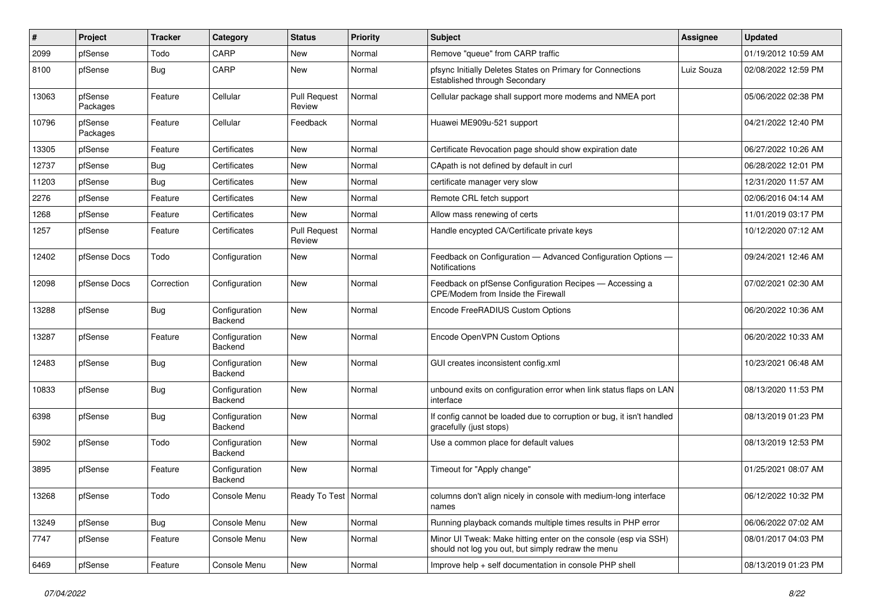| #     | Project             | <b>Tracker</b> | Category                 | <b>Status</b>                 | <b>Priority</b> | Subject                                                                                                               | <b>Assignee</b> | <b>Updated</b>      |
|-------|---------------------|----------------|--------------------------|-------------------------------|-----------------|-----------------------------------------------------------------------------------------------------------------------|-----------------|---------------------|
| 2099  | pfSense             | Todo           | CARP                     | New                           | Normal          | Remove "queue" from CARP traffic                                                                                      |                 | 01/19/2012 10:59 AM |
| 8100  | pfSense             | Bug            | CARP                     | <b>New</b>                    | Normal          | pfsync Initially Deletes States on Primary for Connections<br>Established through Secondary                           | Luiz Souza      | 02/08/2022 12:59 PM |
| 13063 | pfSense<br>Packages | Feature        | Cellular                 | <b>Pull Request</b><br>Review | Normal          | Cellular package shall support more modems and NMEA port                                                              |                 | 05/06/2022 02:38 PM |
| 10796 | pfSense<br>Packages | Feature        | Cellular                 | Feedback                      | Normal          | Huawei ME909u-521 support                                                                                             |                 | 04/21/2022 12:40 PM |
| 13305 | pfSense             | Feature        | Certificates             | <b>New</b>                    | Normal          | Certificate Revocation page should show expiration date                                                               |                 | 06/27/2022 10:26 AM |
| 12737 | pfSense             | Bug            | Certificates             | <b>New</b>                    | Normal          | CApath is not defined by default in curl                                                                              |                 | 06/28/2022 12:01 PM |
| 11203 | pfSense             | Bug            | Certificates             | <b>New</b>                    | Normal          | certificate manager very slow                                                                                         |                 | 12/31/2020 11:57 AM |
| 2276  | pfSense             | Feature        | Certificates             | <b>New</b>                    | Normal          | Remote CRL fetch support                                                                                              |                 | 02/06/2016 04:14 AM |
| 1268  | pfSense             | Feature        | Certificates             | <b>New</b>                    | Normal          | Allow mass renewing of certs                                                                                          |                 | 11/01/2019 03:17 PM |
| 1257  | pfSense             | Feature        | Certificates             | <b>Pull Request</b><br>Review | Normal          | Handle encypted CA/Certificate private keys                                                                           |                 | 10/12/2020 07:12 AM |
| 12402 | pfSense Docs        | Todo           | Configuration            | <b>New</b>                    | Normal          | Feedback on Configuration - Advanced Configuration Options -<br><b>Notifications</b>                                  |                 | 09/24/2021 12:46 AM |
| 12098 | pfSense Docs        | Correction     | Configuration            | <b>New</b>                    | Normal          | Feedback on pfSense Configuration Recipes - Accessing a<br>CPE/Modem from Inside the Firewall                         |                 | 07/02/2021 02:30 AM |
| 13288 | pfSense             | Bug            | Configuration<br>Backend | <b>New</b>                    | Normal          | Encode FreeRADIUS Custom Options                                                                                      |                 | 06/20/2022 10:36 AM |
| 13287 | pfSense             | Feature        | Configuration<br>Backend | <b>New</b>                    | Normal          | Encode OpenVPN Custom Options                                                                                         |                 | 06/20/2022 10:33 AM |
| 12483 | pfSense             | <b>Bug</b>     | Configuration<br>Backend | <b>New</b>                    | Normal          | GUI creates inconsistent config.xml                                                                                   |                 | 10/23/2021 06:48 AM |
| 10833 | pfSense             | Bug            | Configuration<br>Backend | <b>New</b>                    | Normal          | unbound exits on configuration error when link status flaps on LAN<br>interface                                       |                 | 08/13/2020 11:53 PM |
| 6398  | pfSense             | Bug            | Configuration<br>Backend | New                           | Normal          | If config cannot be loaded due to corruption or bug, it isn't handled<br>gracefully (just stops)                      |                 | 08/13/2019 01:23 PM |
| 5902  | pfSense             | Todo           | Configuration<br>Backend | <b>New</b>                    | Normal          | Use a common place for default values                                                                                 |                 | 08/13/2019 12:53 PM |
| 3895  | pfSense             | Feature        | Configuration<br>Backend | <b>New</b>                    | Normal          | Timeout for "Apply change"                                                                                            |                 | 01/25/2021 08:07 AM |
| 13268 | pfSense             | Todo           | Console Menu             | Ready To Test   Normal        |                 | columns don't align nicely in console with medium-long interface<br>names                                             |                 | 06/12/2022 10:32 PM |
| 13249 | pfSense             | <b>Bug</b>     | Console Menu             | <b>New</b>                    | Normal          | Running playback comands multiple times results in PHP error                                                          |                 | 06/06/2022 07:02 AM |
| 7747  | pfSense             | Feature        | Console Menu             | New                           | Normal          | Minor UI Tweak: Make hitting enter on the console (esp via SSH)<br>should not log you out, but simply redraw the menu |                 | 08/01/2017 04:03 PM |
| 6469  | pfSense             | Feature        | Console Menu             | New                           | Normal          | Improve help + self documentation in console PHP shell                                                                |                 | 08/13/2019 01:23 PM |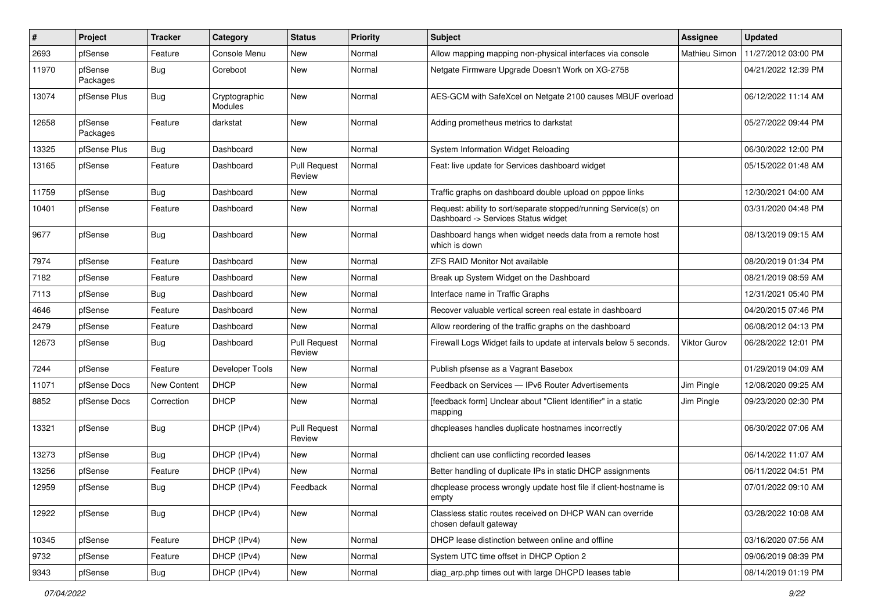| #     | Project             | <b>Tracker</b> | Category                        | <b>Status</b>                 | <b>Priority</b> | <b>Subject</b>                                                                                         | <b>Assignee</b>     | <b>Updated</b>      |
|-------|---------------------|----------------|---------------------------------|-------------------------------|-----------------|--------------------------------------------------------------------------------------------------------|---------------------|---------------------|
| 2693  | pfSense             | Feature        | Console Menu                    | New                           | Normal          | Allow mapping mapping non-physical interfaces via console                                              | Mathieu Simon       | 11/27/2012 03:00 PM |
| 11970 | pfSense<br>Packages | <b>Bug</b>     | Coreboot                        | New                           | Normal          | Netgate Firmware Upgrade Doesn't Work on XG-2758                                                       |                     | 04/21/2022 12:39 PM |
| 13074 | pfSense Plus        | Bug            | Cryptographic<br><b>Modules</b> | <b>New</b>                    | Normal          | AES-GCM with SafeXcel on Netgate 2100 causes MBUF overload                                             |                     | 06/12/2022 11:14 AM |
| 12658 | pfSense<br>Packages | Feature        | darkstat                        | <b>New</b>                    | Normal          | Adding prometheus metrics to darkstat                                                                  |                     | 05/27/2022 09:44 PM |
| 13325 | pfSense Plus        | Bug            | Dashboard                       | New                           | Normal          | System Information Widget Reloading                                                                    |                     | 06/30/2022 12:00 PM |
| 13165 | pfSense             | Feature        | Dashboard                       | <b>Pull Request</b><br>Review | Normal          | Feat: live update for Services dashboard widget                                                        |                     | 05/15/2022 01:48 AM |
| 11759 | pfSense             | <b>Bug</b>     | Dashboard                       | <b>New</b>                    | Normal          | Traffic graphs on dashboard double upload on pppoe links                                               |                     | 12/30/2021 04:00 AM |
| 10401 | pfSense             | Feature        | Dashboard                       | New                           | Normal          | Request: ability to sort/separate stopped/running Service(s) on<br>Dashboard -> Services Status widget |                     | 03/31/2020 04:48 PM |
| 9677  | pfSense             | Bug            | Dashboard                       | <b>New</b>                    | Normal          | Dashboard hangs when widget needs data from a remote host<br>which is down                             |                     | 08/13/2019 09:15 AM |
| 7974  | pfSense             | Feature        | Dashboard                       | New                           | Normal          | <b>ZFS RAID Monitor Not available</b>                                                                  |                     | 08/20/2019 01:34 PM |
| 7182  | pfSense             | Feature        | Dashboard                       | New                           | Normal          | Break up System Widget on the Dashboard                                                                |                     | 08/21/2019 08:59 AM |
| 7113  | pfSense             | <b>Bug</b>     | Dashboard                       | New                           | Normal          | Interface name in Traffic Graphs                                                                       |                     | 12/31/2021 05:40 PM |
| 4646  | pfSense             | Feature        | Dashboard                       | <b>New</b>                    | Normal          | Recover valuable vertical screen real estate in dashboard                                              |                     | 04/20/2015 07:46 PM |
| 2479  | pfSense             | Feature        | Dashboard                       | New                           | Normal          | Allow reordering of the traffic graphs on the dashboard                                                |                     | 06/08/2012 04:13 PM |
| 12673 | pfSense             | Bug            | Dashboard                       | <b>Pull Request</b><br>Review | Normal          | Firewall Logs Widget fails to update at intervals below 5 seconds.                                     | <b>Viktor Gurov</b> | 06/28/2022 12:01 PM |
| 7244  | pfSense             | Feature        | Developer Tools                 | <b>New</b>                    | Normal          | Publish pfsense as a Vagrant Basebox                                                                   |                     | 01/29/2019 04:09 AM |
| 11071 | pfSense Docs        | New Content    | <b>DHCP</b>                     | New                           | Normal          | Feedback on Services - IPv6 Router Advertisements                                                      | Jim Pingle          | 12/08/2020 09:25 AM |
| 8852  | pfSense Docs        | Correction     | <b>DHCP</b>                     | New                           | Normal          | [feedback form] Unclear about "Client Identifier" in a static<br>mapping                               | Jim Pingle          | 09/23/2020 02:30 PM |
| 13321 | pfSense             | Bug            | DHCP (IPv4)                     | <b>Pull Request</b><br>Review | Normal          | dhcpleases handles duplicate hostnames incorrectly                                                     |                     | 06/30/2022 07:06 AM |
| 13273 | pfSense             | Bug            | DHCP (IPv4)                     | <b>New</b>                    | Normal          | dhclient can use conflicting recorded leases                                                           |                     | 06/14/2022 11:07 AM |
| 13256 | pfSense             | Feature        | DHCP (IPv4)                     | <b>New</b>                    | Normal          | Better handling of duplicate IPs in static DHCP assignments                                            |                     | 06/11/2022 04:51 PM |
| 12959 | pfSense             | Bug            | DHCP (IPv4)                     | Feedback                      | Normal          | dhcplease process wrongly update host file if client-hostname is<br>empty                              |                     | 07/01/2022 09:10 AM |
| 12922 | pfSense             | Bug            | DHCP (IPv4)                     | New                           | Normal          | Classless static routes received on DHCP WAN can override<br>chosen default gateway                    |                     | 03/28/2022 10:08 AM |
| 10345 | pfSense             | Feature        | DHCP (IPv4)                     | New                           | Normal          | DHCP lease distinction between online and offline                                                      |                     | 03/16/2020 07:56 AM |
| 9732  | pfSense             | Feature        | DHCP (IPv4)                     | New                           | Normal          | System UTC time offset in DHCP Option 2                                                                |                     | 09/06/2019 08:39 PM |
| 9343  | pfSense             | <b>Bug</b>     | DHCP (IPv4)                     | New                           | Normal          | diag_arp.php times out with large DHCPD leases table                                                   |                     | 08/14/2019 01:19 PM |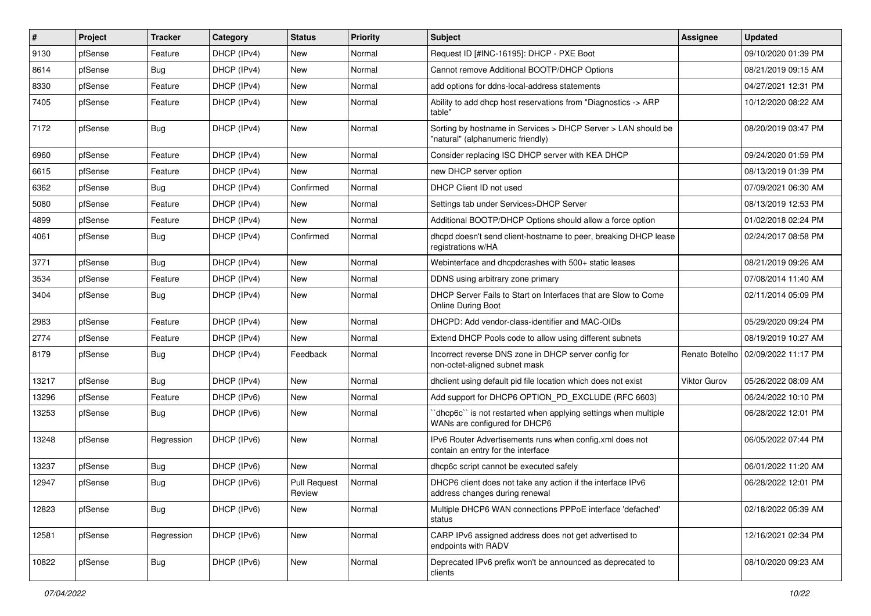| #     | Project | <b>Tracker</b> | Category    | <b>Status</b>                 | <b>Priority</b> | <b>Subject</b>                                                                                     | <b>Assignee</b>     | <b>Updated</b>      |
|-------|---------|----------------|-------------|-------------------------------|-----------------|----------------------------------------------------------------------------------------------------|---------------------|---------------------|
| 9130  | pfSense | Feature        | DHCP (IPv4) | New                           | Normal          | Request ID [#INC-16195]: DHCP - PXE Boot                                                           |                     | 09/10/2020 01:39 PM |
| 8614  | pfSense | <b>Bug</b>     | DHCP (IPv4) | New                           | Normal          | Cannot remove Additional BOOTP/DHCP Options                                                        |                     | 08/21/2019 09:15 AM |
| 8330  | pfSense | Feature        | DHCP (IPv4) | New                           | Normal          | add options for ddns-local-address statements                                                      |                     | 04/27/2021 12:31 PM |
| 7405  | pfSense | Feature        | DHCP (IPv4) | New                           | Normal          | Ability to add dhcp host reservations from "Diagnostics -> ARP<br>table"                           |                     | 10/12/2020 08:22 AM |
| 7172  | pfSense | Bug            | DHCP (IPv4) | <b>New</b>                    | Normal          | Sorting by hostname in Services > DHCP Server > LAN should be<br>'natural" (alphanumeric friendly) |                     | 08/20/2019 03:47 PM |
| 6960  | pfSense | Feature        | DHCP (IPv4) | <b>New</b>                    | Normal          | Consider replacing ISC DHCP server with KEA DHCP                                                   |                     | 09/24/2020 01:59 PM |
| 6615  | pfSense | Feature        | DHCP (IPv4) | New                           | Normal          | new DHCP server option                                                                             |                     | 08/13/2019 01:39 PM |
| 6362  | pfSense | Bug            | DHCP (IPv4) | Confirmed                     | Normal          | DHCP Client ID not used                                                                            |                     | 07/09/2021 06:30 AM |
| 5080  | pfSense | Feature        | DHCP (IPv4) | New                           | Normal          | Settings tab under Services>DHCP Server                                                            |                     | 08/13/2019 12:53 PM |
| 4899  | pfSense | Feature        | DHCP (IPv4) | New                           | Normal          | Additional BOOTP/DHCP Options should allow a force option                                          |                     | 01/02/2018 02:24 PM |
| 4061  | pfSense | Bug            | DHCP (IPv4) | Confirmed                     | Normal          | dhcpd doesn't send client-hostname to peer, breaking DHCP lease<br>registrations w/HA              |                     | 02/24/2017 08:58 PM |
| 3771  | pfSense | Bug            | DHCP (IPv4) | New                           | Normal          | Webinterface and dhcpdcrashes with 500+ static leases                                              |                     | 08/21/2019 09:26 AM |
| 3534  | pfSense | Feature        | DHCP (IPv4) | <b>New</b>                    | Normal          | DDNS using arbitrary zone primary                                                                  |                     | 07/08/2014 11:40 AM |
| 3404  | pfSense | Bug            | DHCP (IPv4) | New                           | Normal          | DHCP Server Fails to Start on Interfaces that are Slow to Come<br><b>Online During Boot</b>        |                     | 02/11/2014 05:09 PM |
| 2983  | pfSense | Feature        | DHCP (IPv4) | <b>New</b>                    | Normal          | DHCPD: Add vendor-class-identifier and MAC-OIDs                                                    |                     | 05/29/2020 09:24 PM |
| 2774  | pfSense | Feature        | DHCP (IPv4) | <b>New</b>                    | Normal          | Extend DHCP Pools code to allow using different subnets                                            |                     | 08/19/2019 10:27 AM |
| 8179  | pfSense | Bug            | DHCP (IPv4) | Feedback                      | Normal          | Incorrect reverse DNS zone in DHCP server config for<br>non-octet-aligned subnet mask              | Renato Botelho      | 02/09/2022 11:17 PM |
| 13217 | pfSense | Bug            | DHCP (IPv4) | <b>New</b>                    | Normal          | dhclient using default pid file location which does not exist                                      | <b>Viktor Gurov</b> | 05/26/2022 08:09 AM |
| 13296 | pfSense | Feature        | DHCP (IPv6) | <b>New</b>                    | Normal          | Add support for DHCP6 OPTION_PD_EXCLUDE (RFC 6603)                                                 |                     | 06/24/2022 10:10 PM |
| 13253 | pfSense | <b>Bug</b>     | DHCP (IPv6) | New                           | Normal          | 'dhcp6c' is not restarted when applying settings when multiple<br>WANs are configured for DHCP6    |                     | 06/28/2022 12:01 PM |
| 13248 | pfSense | Regression     | DHCP (IPv6) | <b>New</b>                    | Normal          | IPv6 Router Advertisements runs when config.xml does not<br>contain an entry for the interface     |                     | 06/05/2022 07:44 PM |
| 13237 | pfSense | Bug            | DHCP (IPv6) | <b>New</b>                    | Normal          | dhcp6c script cannot be executed safely                                                            |                     | 06/01/2022 11:20 AM |
| 12947 | pfSense | Bug            | DHCP (IPv6) | <b>Pull Request</b><br>Review | Normal          | DHCP6 client does not take any action if the interface IPv6<br>address changes during renewal      |                     | 06/28/2022 12:01 PM |
| 12823 | pfSense | <b>Bug</b>     | DHCP (IPv6) | New                           | Normal          | Multiple DHCP6 WAN connections PPPoE interface 'defached'<br>status                                |                     | 02/18/2022 05:39 AM |
| 12581 | pfSense | Regression     | DHCP (IPv6) | New                           | Normal          | CARP IPv6 assigned address does not get advertised to<br>endpoints with RADV                       |                     | 12/16/2021 02:34 PM |
| 10822 | pfSense | Bug            | DHCP (IPv6) | New                           | Normal          | Deprecated IPv6 prefix won't be announced as deprecated to<br>clients                              |                     | 08/10/2020 09:23 AM |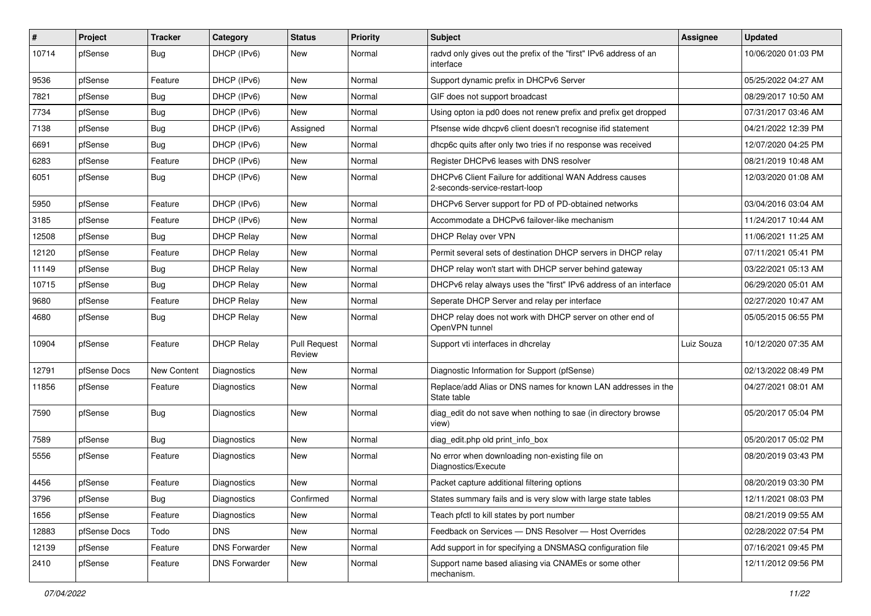| #     | Project      | <b>Tracker</b> | Category             | <b>Status</b>                 | <b>Priority</b> | <b>Subject</b>                                                                            | Assignee   | <b>Updated</b>      |
|-------|--------------|----------------|----------------------|-------------------------------|-----------------|-------------------------------------------------------------------------------------------|------------|---------------------|
| 10714 | pfSense      | Bug            | DHCP (IPv6)          | New                           | Normal          | radvd only gives out the prefix of the "first" IPv6 address of an<br>interface            |            | 10/06/2020 01:03 PM |
| 9536  | pfSense      | Feature        | DHCP (IPv6)          | New                           | Normal          | Support dynamic prefix in DHCPv6 Server                                                   |            | 05/25/2022 04:27 AM |
| 7821  | pfSense      | Bug            | DHCP (IPv6)          | New                           | Normal          | GIF does not support broadcast                                                            |            | 08/29/2017 10:50 AM |
| 7734  | pfSense      | Bug            | DHCP (IPv6)          | New                           | Normal          | Using opton ia pd0 does not renew prefix and prefix get dropped                           |            | 07/31/2017 03:46 AM |
| 7138  | pfSense      | Bug            | DHCP (IPv6)          | Assigned                      | Normal          | Pfsense wide dhcpv6 client doesn't recognise ifid statement                               |            | 04/21/2022 12:39 PM |
| 6691  | pfSense      | Bug            | DHCP (IPv6)          | New                           | Normal          | dhcp6c quits after only two tries if no response was received                             |            | 12/07/2020 04:25 PM |
| 6283  | pfSense      | Feature        | DHCP (IPv6)          | New                           | Normal          | Register DHCPv6 leases with DNS resolver                                                  |            | 08/21/2019 10:48 AM |
| 6051  | pfSense      | Bug            | DHCP (IPv6)          | New                           | Normal          | DHCPv6 Client Failure for additional WAN Address causes<br>2-seconds-service-restart-loop |            | 12/03/2020 01:08 AM |
| 5950  | pfSense      | Feature        | DHCP (IPv6)          | New                           | Normal          | DHCPv6 Server support for PD of PD-obtained networks                                      |            | 03/04/2016 03:04 AM |
| 3185  | pfSense      | Feature        | DHCP (IPv6)          | New                           | Normal          | Accommodate a DHCPv6 failover-like mechanism                                              |            | 11/24/2017 10:44 AM |
| 12508 | pfSense      | Bug            | <b>DHCP Relay</b>    | New                           | Normal          | DHCP Relay over VPN                                                                       |            | 11/06/2021 11:25 AM |
| 12120 | pfSense      | Feature        | <b>DHCP Relay</b>    | New                           | Normal          | Permit several sets of destination DHCP servers in DHCP relay                             |            | 07/11/2021 05:41 PM |
| 11149 | pfSense      | <b>Bug</b>     | <b>DHCP Relay</b>    | New                           | Normal          | DHCP relay won't start with DHCP server behind gateway                                    |            | 03/22/2021 05:13 AM |
| 10715 | pfSense      | Bug            | <b>DHCP Relay</b>    | New                           | Normal          | DHCPv6 relay always uses the "first" IPv6 address of an interface                         |            | 06/29/2020 05:01 AM |
| 9680  | pfSense      | Feature        | <b>DHCP Relay</b>    | New                           | Normal          | Seperate DHCP Server and relay per interface                                              |            | 02/27/2020 10:47 AM |
| 4680  | pfSense      | <b>Bug</b>     | <b>DHCP Relay</b>    | <b>New</b>                    | Normal          | DHCP relay does not work with DHCP server on other end of<br>OpenVPN tunnel               |            | 05/05/2015 06:55 PM |
| 10904 | pfSense      | Feature        | <b>DHCP Relay</b>    | <b>Pull Request</b><br>Review | Normal          | Support vti interfaces in dhcrelay                                                        | Luiz Souza | 10/12/2020 07:35 AM |
| 12791 | pfSense Docs | New Content    | Diagnostics          | New                           | Normal          | Diagnostic Information for Support (pfSense)                                              |            | 02/13/2022 08:49 PM |
| 11856 | pfSense      | Feature        | Diagnostics          | New                           | Normal          | Replace/add Alias or DNS names for known LAN addresses in the<br>State table              |            | 04/27/2021 08:01 AM |
| 7590  | pfSense      | Bug            | Diagnostics          | <b>New</b>                    | Normal          | diag edit do not save when nothing to sae (in directory browse<br>view)                   |            | 05/20/2017 05:04 PM |
| 7589  | pfSense      | Bug            | Diagnostics          | <b>New</b>                    | Normal          | diag edit.php old print info box                                                          |            | 05/20/2017 05:02 PM |
| 5556  | pfSense      | Feature        | Diagnostics          | New                           | Normal          | No error when downloading non-existing file on<br>Diagnostics/Execute                     |            | 08/20/2019 03:43 PM |
| 4456  | pfSense      | Feature        | Diagnostics          | New                           | Normal          | Packet capture additional filtering options                                               |            | 08/20/2019 03:30 PM |
| 3796  | pfSense      | Bug            | Diagnostics          | Confirmed                     | Normal          | States summary fails and is very slow with large state tables                             |            | 12/11/2021 08:03 PM |
| 1656  | pfSense      | Feature        | Diagnostics          | New                           | Normal          | Teach pfctl to kill states by port number                                                 |            | 08/21/2019 09:55 AM |
| 12883 | pfSense Docs | Todo           | <b>DNS</b>           | New                           | Normal          | Feedback on Services - DNS Resolver - Host Overrides                                      |            | 02/28/2022 07:54 PM |
| 12139 | pfSense      | Feature        | <b>DNS Forwarder</b> | New                           | Normal          | Add support in for specifying a DNSMASQ configuration file                                |            | 07/16/2021 09:45 PM |
| 2410  | pfSense      | Feature        | <b>DNS Forwarder</b> | New                           | Normal          | Support name based aliasing via CNAMEs or some other<br>mechanism.                        |            | 12/11/2012 09:56 PM |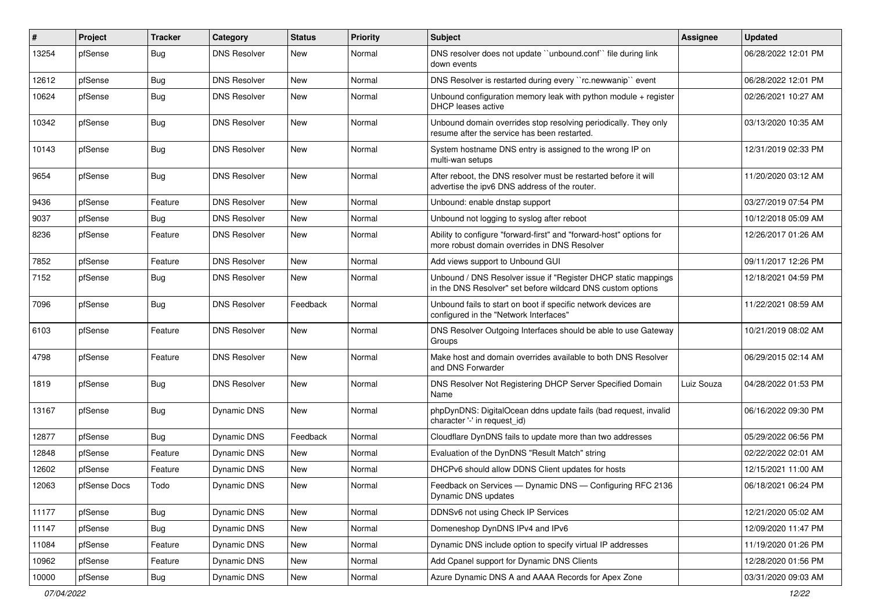| ∦     | Project      | <b>Tracker</b> | Category            | <b>Status</b> | Priority | <b>Subject</b>                                                                                                                | Assignee   | <b>Updated</b>      |
|-------|--------------|----------------|---------------------|---------------|----------|-------------------------------------------------------------------------------------------------------------------------------|------------|---------------------|
| 13254 | pfSense      | <b>Bug</b>     | <b>DNS Resolver</b> | New           | Normal   | DNS resolver does not update "unbound.conf" file during link<br>down events                                                   |            | 06/28/2022 12:01 PM |
| 12612 | pfSense      | <b>Bug</b>     | <b>DNS Resolver</b> | New           | Normal   | DNS Resolver is restarted during every "rc.newwanip" event                                                                    |            | 06/28/2022 12:01 PM |
| 10624 | pfSense      | <b>Bug</b>     | <b>DNS Resolver</b> | New           | Normal   | Unbound configuration memory leak with python module $+$ register<br>DHCP leases active                                       |            | 02/26/2021 10:27 AM |
| 10342 | pfSense      | Bug            | <b>DNS Resolver</b> | <b>New</b>    | Normal   | Unbound domain overrides stop resolving periodically. They only<br>resume after the service has been restarted.               |            | 03/13/2020 10:35 AM |
| 10143 | pfSense      | <b>Bug</b>     | <b>DNS Resolver</b> | <b>New</b>    | Normal   | System hostname DNS entry is assigned to the wrong IP on<br>multi-wan setups                                                  |            | 12/31/2019 02:33 PM |
| 9654  | pfSense      | Bug            | <b>DNS Resolver</b> | New           | Normal   | After reboot, the DNS resolver must be restarted before it will<br>advertise the ipv6 DNS address of the router.              |            | 11/20/2020 03:12 AM |
| 9436  | pfSense      | Feature        | <b>DNS Resolver</b> | <b>New</b>    | Normal   | Unbound: enable dnstap support                                                                                                |            | 03/27/2019 07:54 PM |
| 9037  | pfSense      | <b>Bug</b>     | <b>DNS Resolver</b> | <b>New</b>    | Normal   | Unbound not logging to syslog after reboot                                                                                    |            | 10/12/2018 05:09 AM |
| 8236  | pfSense      | Feature        | <b>DNS Resolver</b> | New           | Normal   | Ability to configure "forward-first" and "forward-host" options for<br>more robust domain overrides in DNS Resolver           |            | 12/26/2017 01:26 AM |
| 7852  | pfSense      | Feature        | <b>DNS Resolver</b> | <b>New</b>    | Normal   | Add views support to Unbound GUI                                                                                              |            | 09/11/2017 12:26 PM |
| 7152  | pfSense      | <b>Bug</b>     | <b>DNS Resolver</b> | <b>New</b>    | Normal   | Unbound / DNS Resolver issue if "Register DHCP static mappings<br>in the DNS Resolver" set before wildcard DNS custom options |            | 12/18/2021 04:59 PM |
| 7096  | pfSense      | <b>Bug</b>     | <b>DNS Resolver</b> | Feedback      | Normal   | Unbound fails to start on boot if specific network devices are<br>configured in the "Network Interfaces"                      |            | 11/22/2021 08:59 AM |
| 6103  | pfSense      | Feature        | <b>DNS Resolver</b> | <b>New</b>    | Normal   | DNS Resolver Outgoing Interfaces should be able to use Gateway<br>Groups                                                      |            | 10/21/2019 08:02 AM |
| 4798  | pfSense      | Feature        | <b>DNS Resolver</b> | <b>New</b>    | Normal   | Make host and domain overrides available to both DNS Resolver<br>and DNS Forwarder                                            |            | 06/29/2015 02:14 AM |
| 1819  | pfSense      | Bug            | <b>DNS Resolver</b> | <b>New</b>    | Normal   | DNS Resolver Not Registering DHCP Server Specified Domain<br>Name                                                             | Luiz Souza | 04/28/2022 01:53 PM |
| 13167 | pfSense      | <b>Bug</b>     | Dynamic DNS         | <b>New</b>    | Normal   | phpDynDNS: DigitalOcean ddns update fails (bad request, invalid<br>character '-' in request_id)                               |            | 06/16/2022 09:30 PM |
| 12877 | pfSense      | <b>Bug</b>     | Dynamic DNS         | Feedback      | Normal   | Cloudflare DynDNS fails to update more than two addresses                                                                     |            | 05/29/2022 06:56 PM |
| 12848 | pfSense      | Feature        | Dynamic DNS         | <b>New</b>    | Normal   | Evaluation of the DynDNS "Result Match" string                                                                                |            | 02/22/2022 02:01 AM |
| 12602 | pfSense      | Feature        | <b>Dynamic DNS</b>  | New           | Normal   | DHCPv6 should allow DDNS Client updates for hosts                                                                             |            | 12/15/2021 11:00 AM |
| 12063 | pfSense Docs | Todo           | Dynamic DNS         | <b>New</b>    | Normal   | Feedback on Services - Dynamic DNS - Configuring RFC 2136<br>Dynamic DNS updates                                              |            | 06/18/2021 06:24 PM |
| 11177 | pfSense      | <b>Bug</b>     | Dynamic DNS         | New           | Normal   | DDNSv6 not using Check IP Services                                                                                            |            | 12/21/2020 05:02 AM |
| 11147 | pfSense      | <b>Bug</b>     | Dynamic DNS         | New           | Normal   | Domeneshop DynDNS IPv4 and IPv6                                                                                               |            | 12/09/2020 11:47 PM |
| 11084 | pfSense      | Feature        | Dynamic DNS         | New           | Normal   | Dynamic DNS include option to specify virtual IP addresses                                                                    |            | 11/19/2020 01:26 PM |
| 10962 | pfSense      | Feature        | Dynamic DNS         | New           | Normal   | Add Cpanel support for Dynamic DNS Clients                                                                                    |            | 12/28/2020 01:56 PM |
| 10000 | pfSense      | <b>Bug</b>     | Dynamic DNS         | New           | Normal   | Azure Dynamic DNS A and AAAA Records for Apex Zone                                                                            |            | 03/31/2020 09:03 AM |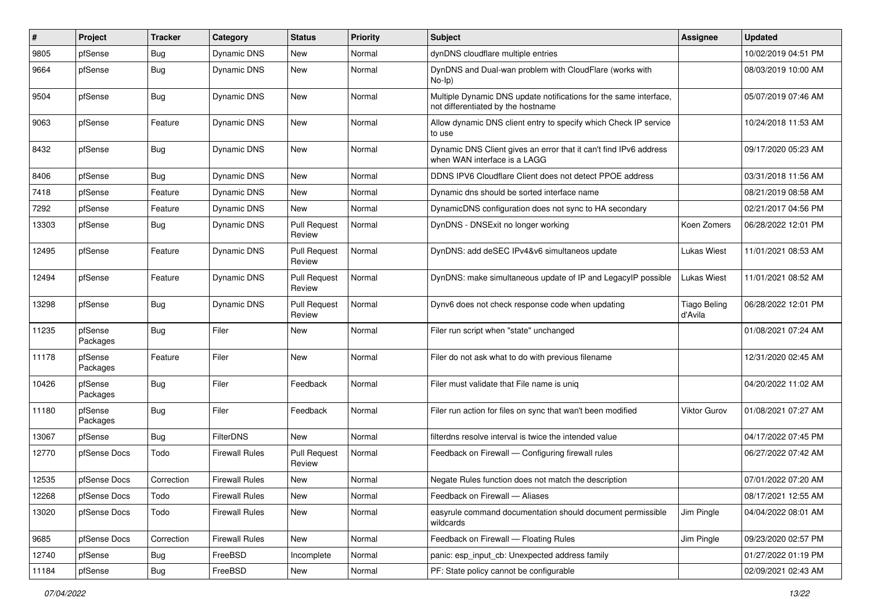| ∦     | Project             | <b>Tracker</b> | Category              | <b>Status</b>                 | <b>Priority</b> | Subject                                                                                                 | Assignee                       | <b>Updated</b>      |
|-------|---------------------|----------------|-----------------------|-------------------------------|-----------------|---------------------------------------------------------------------------------------------------------|--------------------------------|---------------------|
| 9805  | pfSense             | <b>Bug</b>     | Dynamic DNS           | <b>New</b>                    | Normal          | dynDNS cloudflare multiple entries                                                                      |                                | 10/02/2019 04:51 PM |
| 9664  | pfSense             | <b>Bug</b>     | Dynamic DNS           | <b>New</b>                    | Normal          | DynDNS and Dual-wan problem with CloudFlare (works with<br>$No-Ip)$                                     |                                | 08/03/2019 10:00 AM |
| 9504  | pfSense             | <b>Bug</b>     | Dynamic DNS           | <b>New</b>                    | Normal          | Multiple Dynamic DNS update notifications for the same interface,<br>not differentiated by the hostname |                                | 05/07/2019 07:46 AM |
| 9063  | pfSense             | Feature        | Dynamic DNS           | <b>New</b>                    | Normal          | Allow dynamic DNS client entry to specify which Check IP service<br>to use                              |                                | 10/24/2018 11:53 AM |
| 8432  | pfSense             | <b>Bug</b>     | Dynamic DNS           | New                           | Normal          | Dynamic DNS Client gives an error that it can't find IPv6 address<br>when WAN interface is a LAGG       |                                | 09/17/2020 05:23 AM |
| 8406  | pfSense             | <b>Bug</b>     | Dynamic DNS           | <b>New</b>                    | Normal          | DDNS IPV6 Cloudflare Client does not detect PPOE address                                                |                                | 03/31/2018 11:56 AM |
| 7418  | pfSense             | Feature        | Dynamic DNS           | <b>New</b>                    | Normal          | Dynamic dns should be sorted interface name                                                             |                                | 08/21/2019 08:58 AM |
| 7292  | pfSense             | Feature        | Dynamic DNS           | <b>New</b>                    | Normal          | DynamicDNS configuration does not sync to HA secondary                                                  |                                | 02/21/2017 04:56 PM |
| 13303 | pfSense             | Bug            | Dynamic DNS           | <b>Pull Request</b><br>Review | Normal          | DynDNS - DNSExit no longer working                                                                      | Koen Zomers                    | 06/28/2022 12:01 PM |
| 12495 | pfSense             | Feature        | Dynamic DNS           | <b>Pull Request</b><br>Review | Normal          | DynDNS: add deSEC IPv4&v6 simultaneos update                                                            | <b>Lukas Wiest</b>             | 11/01/2021 08:53 AM |
| 12494 | pfSense             | Feature        | Dynamic DNS           | <b>Pull Request</b><br>Review | Normal          | DynDNS: make simultaneous update of IP and LegacyIP possible                                            | Lukas Wiest                    | 11/01/2021 08:52 AM |
| 13298 | pfSense             | <b>Bug</b>     | Dynamic DNS           | <b>Pull Request</b><br>Review | Normal          | Dynv6 does not check response code when updating                                                        | <b>Tiago Beling</b><br>d'Avila | 06/28/2022 12:01 PM |
| 11235 | pfSense<br>Packages | <b>Bug</b>     | Filer                 | <b>New</b>                    | Normal          | Filer run script when "state" unchanged                                                                 |                                | 01/08/2021 07:24 AM |
| 11178 | pfSense<br>Packages | Feature        | Filer                 | <b>New</b>                    | Normal          | Filer do not ask what to do with previous filename                                                      |                                | 12/31/2020 02:45 AM |
| 10426 | pfSense<br>Packages | <b>Bug</b>     | Filer                 | Feedback                      | Normal          | Filer must validate that File name is uniq                                                              |                                | 04/20/2022 11:02 AM |
| 11180 | pfSense<br>Packages | <b>Bug</b>     | Filer                 | Feedback                      | Normal          | Filer run action for files on sync that wan't been modified                                             | Viktor Gurov                   | 01/08/2021 07:27 AM |
| 13067 | pfSense             | <b>Bug</b>     | FilterDNS             | <b>New</b>                    | Normal          | filterdns resolve interval is twice the intended value                                                  |                                | 04/17/2022 07:45 PM |
| 12770 | pfSense Docs        | Todo           | <b>Firewall Rules</b> | <b>Pull Request</b><br>Review | Normal          | Feedback on Firewall — Configuring firewall rules                                                       |                                | 06/27/2022 07:42 AM |
| 12535 | pfSense Docs        | Correction     | <b>Firewall Rules</b> | <b>New</b>                    | Normal          | Negate Rules function does not match the description                                                    |                                | 07/01/2022 07:20 AM |
| 12268 | pfSense Docs        | Todo           | <b>Firewall Rules</b> | New                           | Normal          | Feedback on Firewall - Aliases                                                                          |                                | 08/17/2021 12:55 AM |
| 13020 | pfSense Docs        | Todo           | <b>Firewall Rules</b> | New                           | Normal          | easyrule command documentation should document permissible<br>wildcards                                 | Jim Pingle                     | 04/04/2022 08:01 AM |
| 9685  | pfSense Docs        | Correction     | <b>Firewall Rules</b> | New                           | Normal          | Feedback on Firewall - Floating Rules                                                                   | Jim Pingle                     | 09/23/2020 02:57 PM |
| 12740 | pfSense             | Bug            | FreeBSD               | Incomplete                    | Normal          | panic: esp_input_cb: Unexpected address family                                                          |                                | 01/27/2022 01:19 PM |
| 11184 | pfSense             | Bug            | FreeBSD               | New                           | Normal          | PF: State policy cannot be configurable                                                                 |                                | 02/09/2021 02:43 AM |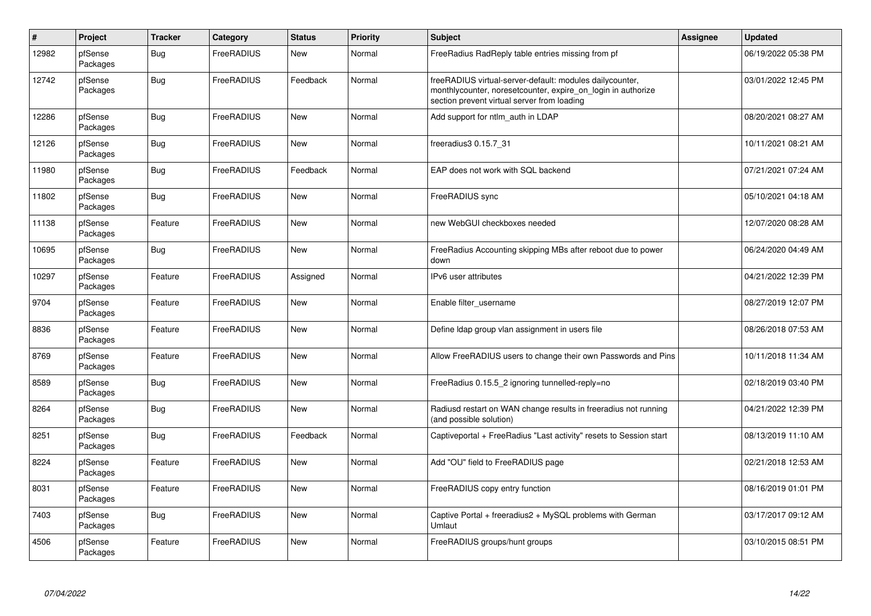| $\pmb{\#}$ | Project             | <b>Tracker</b> | Category   | <b>Status</b> | <b>Priority</b> | <b>Subject</b>                                                                                                                                                           | Assignee | <b>Updated</b>      |
|------------|---------------------|----------------|------------|---------------|-----------------|--------------------------------------------------------------------------------------------------------------------------------------------------------------------------|----------|---------------------|
| 12982      | pfSense<br>Packages | <b>Bug</b>     | FreeRADIUS | New           | Normal          | FreeRadius RadReply table entries missing from pf                                                                                                                        |          | 06/19/2022 05:38 PM |
| 12742      | pfSense<br>Packages | <b>Bug</b>     | FreeRADIUS | Feedback      | Normal          | freeRADIUS virtual-server-default: modules dailycounter,<br>monthlycounter, noreset counter, expire on login in authorize<br>section prevent virtual server from loading |          | 03/01/2022 12:45 PM |
| 12286      | pfSense<br>Packages | Bug            | FreeRADIUS | <b>New</b>    | Normal          | Add support for ntlm auth in LDAP                                                                                                                                        |          | 08/20/2021 08:27 AM |
| 12126      | pfSense<br>Packages | <b>Bug</b>     | FreeRADIUS | New           | Normal          | freeradius3 0.15.7_31                                                                                                                                                    |          | 10/11/2021 08:21 AM |
| 11980      | pfSense<br>Packages | <b>Bug</b>     | FreeRADIUS | Feedback      | Normal          | EAP does not work with SQL backend                                                                                                                                       |          | 07/21/2021 07:24 AM |
| 11802      | pfSense<br>Packages | <b>Bug</b>     | FreeRADIUS | <b>New</b>    | Normal          | FreeRADIUS sync                                                                                                                                                          |          | 05/10/2021 04:18 AM |
| 11138      | pfSense<br>Packages | Feature        | FreeRADIUS | New           | Normal          | new WebGUI checkboxes needed                                                                                                                                             |          | 12/07/2020 08:28 AM |
| 10695      | pfSense<br>Packages | <b>Bug</b>     | FreeRADIUS | <b>New</b>    | Normal          | FreeRadius Accounting skipping MBs after reboot due to power<br>down                                                                                                     |          | 06/24/2020 04:49 AM |
| 10297      | pfSense<br>Packages | Feature        | FreeRADIUS | Assigned      | Normal          | IPv6 user attributes                                                                                                                                                     |          | 04/21/2022 12:39 PM |
| 9704       | pfSense<br>Packages | Feature        | FreeRADIUS | <b>New</b>    | Normal          | Enable filter username                                                                                                                                                   |          | 08/27/2019 12:07 PM |
| 8836       | pfSense<br>Packages | Feature        | FreeRADIUS | New           | Normal          | Define Idap group vlan assignment in users file                                                                                                                          |          | 08/26/2018 07:53 AM |
| 8769       | pfSense<br>Packages | Feature        | FreeRADIUS | <b>New</b>    | Normal          | Allow FreeRADIUS users to change their own Passwords and Pins                                                                                                            |          | 10/11/2018 11:34 AM |
| 8589       | pfSense<br>Packages | <b>Bug</b>     | FreeRADIUS | New           | Normal          | FreeRadius 0.15.5 2 ignoring tunnelled-reply=no                                                                                                                          |          | 02/18/2019 03:40 PM |
| 8264       | pfSense<br>Packages | <b>Bug</b>     | FreeRADIUS | New           | Normal          | Radiusd restart on WAN change results in freeradius not running<br>(and possible solution)                                                                               |          | 04/21/2022 12:39 PM |
| 8251       | pfSense<br>Packages | <b>Bug</b>     | FreeRADIUS | Feedback      | Normal          | Captiveportal + FreeRadius "Last activity" resets to Session start                                                                                                       |          | 08/13/2019 11:10 AM |
| 8224       | pfSense<br>Packages | Feature        | FreeRADIUS | New           | Normal          | Add "OU" field to FreeRADIUS page                                                                                                                                        |          | 02/21/2018 12:53 AM |
| 8031       | pfSense<br>Packages | Feature        | FreeRADIUS | New           | Normal          | FreeRADIUS copy entry function                                                                                                                                           |          | 08/16/2019 01:01 PM |
| 7403       | pfSense<br>Packages | <b>Bug</b>     | FreeRADIUS | New           | Normal          | Captive Portal + freeradius2 + MySQL problems with German<br>Umlaut                                                                                                      |          | 03/17/2017 09:12 AM |
| 4506       | pfSense<br>Packages | Feature        | FreeRADIUS | <b>New</b>    | Normal          | FreeRADIUS groups/hunt groups                                                                                                                                            |          | 03/10/2015 08:51 PM |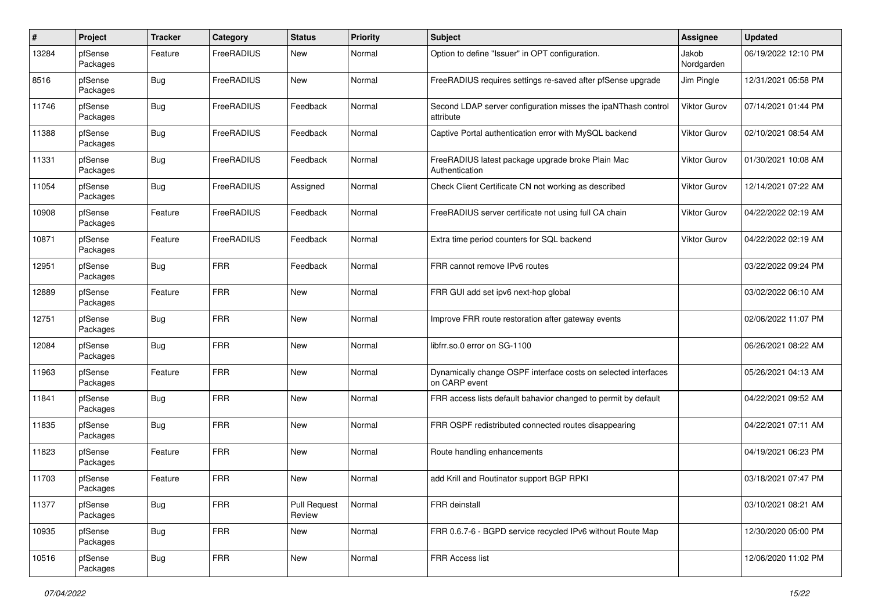| #     | Project             | Tracker    | Category   | <b>Status</b>                 | <b>Priority</b> | <b>Subject</b>                                                                  | <b>Assignee</b>     | <b>Updated</b>      |
|-------|---------------------|------------|------------|-------------------------------|-----------------|---------------------------------------------------------------------------------|---------------------|---------------------|
| 13284 | pfSense<br>Packages | Feature    | FreeRADIUS | New                           | Normal          | Option to define "Issuer" in OPT configuration.                                 | Jakob<br>Nordgarden | 06/19/2022 12:10 PM |
| 8516  | pfSense<br>Packages | <b>Bug</b> | FreeRADIUS | <b>New</b>                    | Normal          | FreeRADIUS requires settings re-saved after pfSense upgrade                     | Jim Pingle          | 12/31/2021 05:58 PM |
| 11746 | pfSense<br>Packages | <b>Bug</b> | FreeRADIUS | Feedback                      | Normal          | Second LDAP server configuration misses the ipaNThash control<br>attribute      | <b>Viktor Gurov</b> | 07/14/2021 01:44 PM |
| 11388 | pfSense<br>Packages | <b>Bug</b> | FreeRADIUS | Feedback                      | Normal          | Captive Portal authentication error with MySQL backend                          | <b>Viktor Gurov</b> | 02/10/2021 08:54 AM |
| 11331 | pfSense<br>Packages | Bug        | FreeRADIUS | Feedback                      | Normal          | FreeRADIUS latest package upgrade broke Plain Mac<br>Authentication             | <b>Viktor Gurov</b> | 01/30/2021 10:08 AM |
| 11054 | pfSense<br>Packages | Bug        | FreeRADIUS | Assigned                      | Normal          | Check Client Certificate CN not working as described                            | <b>Viktor Gurov</b> | 12/14/2021 07:22 AM |
| 10908 | pfSense<br>Packages | Feature    | FreeRADIUS | Feedback                      | Normal          | FreeRADIUS server certificate not using full CA chain                           | <b>Viktor Gurov</b> | 04/22/2022 02:19 AM |
| 10871 | pfSense<br>Packages | Feature    | FreeRADIUS | Feedback                      | Normal          | Extra time period counters for SQL backend                                      | <b>Viktor Gurov</b> | 04/22/2022 02:19 AM |
| 12951 | pfSense<br>Packages | Bug        | <b>FRR</b> | Feedback                      | Normal          | FRR cannot remove IPv6 routes                                                   |                     | 03/22/2022 09:24 PM |
| 12889 | pfSense<br>Packages | Feature    | <b>FRR</b> | <b>New</b>                    | Normal          | FRR GUI add set ipv6 next-hop global                                            |                     | 03/02/2022 06:10 AM |
| 12751 | pfSense<br>Packages | Bug        | <b>FRR</b> | <b>New</b>                    | Normal          | Improve FRR route restoration after gateway events                              |                     | 02/06/2022 11:07 PM |
| 12084 | pfSense<br>Packages | Bug        | <b>FRR</b> | <b>New</b>                    | Normal          | libfrr.so.0 error on SG-1100                                                    |                     | 06/26/2021 08:22 AM |
| 11963 | pfSense<br>Packages | Feature    | <b>FRR</b> | <b>New</b>                    | Normal          | Dynamically change OSPF interface costs on selected interfaces<br>on CARP event |                     | 05/26/2021 04:13 AM |
| 11841 | pfSense<br>Packages | <b>Bug</b> | <b>FRR</b> | New                           | Normal          | FRR access lists default bahavior changed to permit by default                  |                     | 04/22/2021 09:52 AM |
| 11835 | pfSense<br>Packages | Bug        | <b>FRR</b> | New                           | Normal          | FRR OSPF redistributed connected routes disappearing                            |                     | 04/22/2021 07:11 AM |
| 11823 | pfSense<br>Packages | Feature    | <b>FRR</b> | <b>New</b>                    | Normal          | Route handling enhancements                                                     |                     | 04/19/2021 06:23 PM |
| 11703 | pfSense<br>Packages | Feature    | <b>FRR</b> | <b>New</b>                    | Normal          | add Krill and Routinator support BGP RPKI                                       |                     | 03/18/2021 07:47 PM |
| 11377 | pfSense<br>Packages | Bug        | <b>FRR</b> | <b>Pull Request</b><br>Review | Normal          | FRR deinstall                                                                   |                     | 03/10/2021 08:21 AM |
| 10935 | pfSense<br>Packages | Bug        | <b>FRR</b> | New                           | Normal          | FRR 0.6.7-6 - BGPD service recycled IPv6 without Route Map                      |                     | 12/30/2020 05:00 PM |
| 10516 | pfSense<br>Packages | <b>Bug</b> | <b>FRR</b> | New                           | Normal          | FRR Access list                                                                 |                     | 12/06/2020 11:02 PM |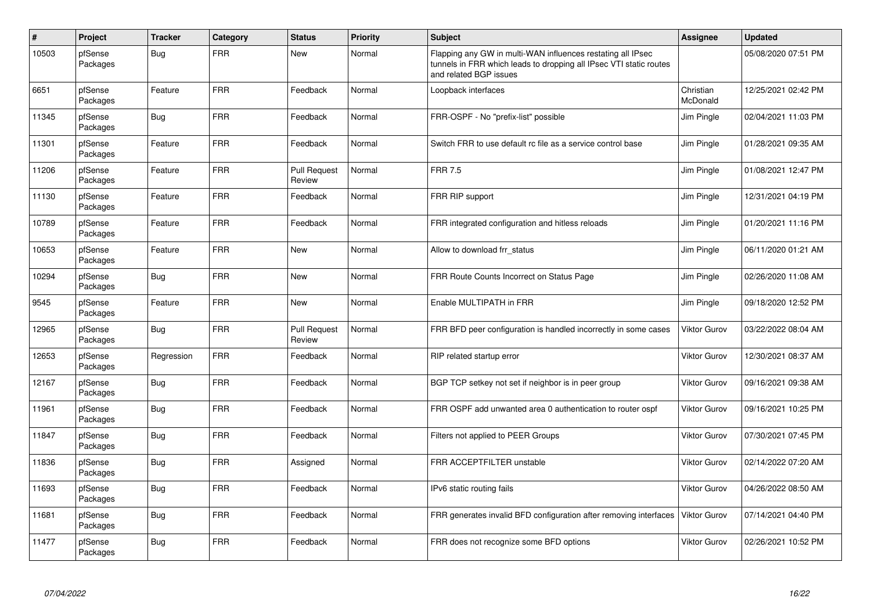| $\sharp$ | Project             | <b>Tracker</b> | Category   | <b>Status</b>                 | <b>Priority</b> | <b>Subject</b>                                                                                                                                              | <b>Assignee</b>       | <b>Updated</b>      |
|----------|---------------------|----------------|------------|-------------------------------|-----------------|-------------------------------------------------------------------------------------------------------------------------------------------------------------|-----------------------|---------------------|
| 10503    | pfSense<br>Packages | Bug            | <b>FRR</b> | New                           | Normal          | Flapping any GW in multi-WAN influences restating all IPsec<br>tunnels in FRR which leads to dropping all IPsec VTI static routes<br>and related BGP issues |                       | 05/08/2020 07:51 PM |
| 6651     | pfSense<br>Packages | Feature        | <b>FRR</b> | Feedback                      | Normal          | Loopback interfaces                                                                                                                                         | Christian<br>McDonald | 12/25/2021 02:42 PM |
| 11345    | pfSense<br>Packages | <b>Bug</b>     | <b>FRR</b> | Feedback                      | Normal          | FRR-OSPF - No "prefix-list" possible                                                                                                                        | Jim Pingle            | 02/04/2021 11:03 PM |
| 11301    | pfSense<br>Packages | Feature        | <b>FRR</b> | Feedback                      | Normal          | Switch FRR to use default rc file as a service control base                                                                                                 | Jim Pingle            | 01/28/2021 09:35 AM |
| 11206    | pfSense<br>Packages | Feature        | <b>FRR</b> | <b>Pull Request</b><br>Review | Normal          | <b>FRR 7.5</b>                                                                                                                                              | Jim Pingle            | 01/08/2021 12:47 PM |
| 11130    | pfSense<br>Packages | Feature        | <b>FRR</b> | Feedback                      | Normal          | FRR RIP support                                                                                                                                             | Jim Pingle            | 12/31/2021 04:19 PM |
| 10789    | pfSense<br>Packages | Feature        | <b>FRR</b> | Feedback                      | Normal          | FRR integrated configuration and hitless reloads                                                                                                            | Jim Pingle            | 01/20/2021 11:16 PM |
| 10653    | pfSense<br>Packages | Feature        | <b>FRR</b> | <b>New</b>                    | Normal          | Allow to download frr_status                                                                                                                                | Jim Pingle            | 06/11/2020 01:21 AM |
| 10294    | pfSense<br>Packages | <b>Bug</b>     | <b>FRR</b> | <b>New</b>                    | Normal          | FRR Route Counts Incorrect on Status Page                                                                                                                   | Jim Pingle            | 02/26/2020 11:08 AM |
| 9545     | pfSense<br>Packages | Feature        | <b>FRR</b> | New                           | Normal          | Enable MULTIPATH in FRR                                                                                                                                     | Jim Pingle            | 09/18/2020 12:52 PM |
| 12965    | pfSense<br>Packages | Bug            | <b>FRR</b> | <b>Pull Request</b><br>Review | Normal          | FRR BFD peer configuration is handled incorrectly in some cases                                                                                             | <b>Viktor Gurov</b>   | 03/22/2022 08:04 AM |
| 12653    | pfSense<br>Packages | Regression     | <b>FRR</b> | Feedback                      | Normal          | RIP related startup error                                                                                                                                   | <b>Viktor Gurov</b>   | 12/30/2021 08:37 AM |
| 12167    | pfSense<br>Packages | Bug            | <b>FRR</b> | Feedback                      | Normal          | BGP TCP setkey not set if neighbor is in peer group                                                                                                         | <b>Viktor Gurov</b>   | 09/16/2021 09:38 AM |
| 11961    | pfSense<br>Packages | <b>Bug</b>     | <b>FRR</b> | Feedback                      | Normal          | FRR OSPF add unwanted area 0 authentication to router ospf                                                                                                  | <b>Viktor Gurov</b>   | 09/16/2021 10:25 PM |
| 11847    | pfSense<br>Packages | Bug            | <b>FRR</b> | Feedback                      | Normal          | Filters not applied to PEER Groups                                                                                                                          | <b>Viktor Gurov</b>   | 07/30/2021 07:45 PM |
| 11836    | pfSense<br>Packages | <b>Bug</b>     | <b>FRR</b> | Assigned                      | Normal          | <b>FRR ACCEPTFILTER unstable</b>                                                                                                                            | <b>Viktor Gurov</b>   | 02/14/2022 07:20 AM |
| 11693    | pfSense<br>Packages | Bug            | <b>FRR</b> | Feedback                      | Normal          | IPv6 static routing fails                                                                                                                                   | <b>Viktor Gurov</b>   | 04/26/2022 08:50 AM |
| 11681    | pfSense<br>Packages | Bug            | <b>FRR</b> | Feedback                      | Normal          | FRR generates invalid BFD configuration after removing interfaces                                                                                           | Viktor Gurov          | 07/14/2021 04:40 PM |
| 11477    | pfSense<br>Packages | Bug            | <b>FRR</b> | Feedback                      | Normal          | FRR does not recognize some BFD options                                                                                                                     | Viktor Gurov          | 02/26/2021 10:52 PM |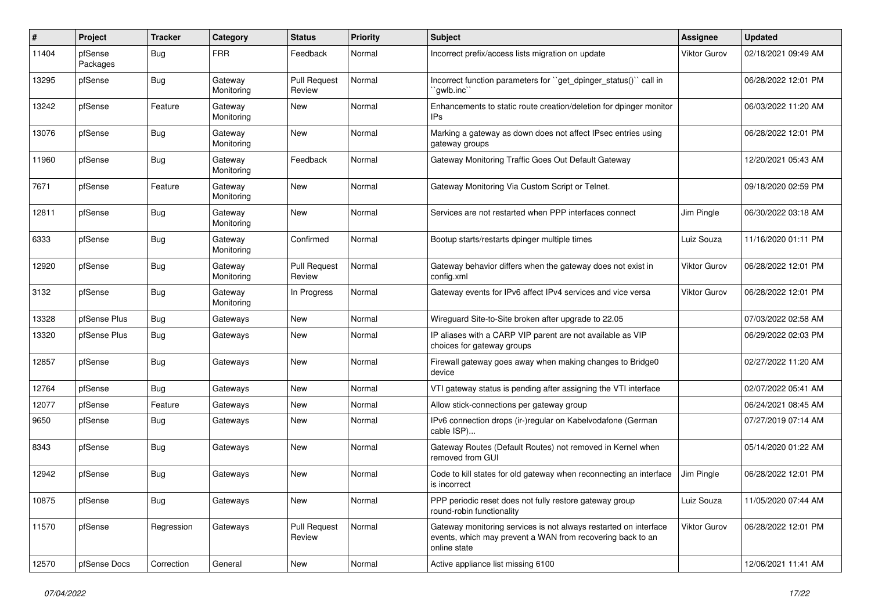| ∦     | Project             | <b>Tracker</b> | Category              | <b>Status</b>                 | <b>Priority</b> | Subject                                                                                                                                        | Assignee            | <b>Updated</b>      |
|-------|---------------------|----------------|-----------------------|-------------------------------|-----------------|------------------------------------------------------------------------------------------------------------------------------------------------|---------------------|---------------------|
| 11404 | pfSense<br>Packages | <b>Bug</b>     | <b>FRR</b>            | Feedback                      | Normal          | Incorrect prefix/access lists migration on update                                                                                              | <b>Viktor Gurov</b> | 02/18/2021 09:49 AM |
| 13295 | pfSense             | <b>Bug</b>     | Gateway<br>Monitoring | <b>Pull Request</b><br>Review | Normal          | Incorrect function parameters for "get_dpinger_status()" call in<br>`qwlb.inc``                                                                |                     | 06/28/2022 12:01 PM |
| 13242 | pfSense             | Feature        | Gateway<br>Monitoring | <b>New</b>                    | Normal          | Enhancements to static route creation/deletion for dpinger monitor<br>IP <sub>s</sub>                                                          |                     | 06/03/2022 11:20 AM |
| 13076 | pfSense             | Bug            | Gateway<br>Monitoring | New                           | Normal          | Marking a gateway as down does not affect IPsec entries using<br>gateway groups                                                                |                     | 06/28/2022 12:01 PM |
| 11960 | pfSense             | Bug            | Gateway<br>Monitoring | Feedback                      | Normal          | Gateway Monitoring Traffic Goes Out Default Gateway                                                                                            |                     | 12/20/2021 05:43 AM |
| 7671  | pfSense             | Feature        | Gateway<br>Monitoring | <b>New</b>                    | Normal          | Gateway Monitoring Via Custom Script or Telnet.                                                                                                |                     | 09/18/2020 02:59 PM |
| 12811 | pfSense             | Bug            | Gateway<br>Monitoring | <b>New</b>                    | Normal          | Services are not restarted when PPP interfaces connect                                                                                         | Jim Pingle          | 06/30/2022 03:18 AM |
| 6333  | pfSense             | <b>Bug</b>     | Gateway<br>Monitoring | Confirmed                     | Normal          | Bootup starts/restarts dpinger multiple times                                                                                                  | Luiz Souza          | 11/16/2020 01:11 PM |
| 12920 | pfSense             | <b>Bug</b>     | Gateway<br>Monitoring | <b>Pull Request</b><br>Review | Normal          | Gateway behavior differs when the gateway does not exist in<br>config.xml                                                                      | Viktor Gurov        | 06/28/2022 12:01 PM |
| 3132  | pfSense             | <b>Bug</b>     | Gateway<br>Monitoring | In Progress                   | Normal          | Gateway events for IPv6 affect IPv4 services and vice versa                                                                                    | <b>Viktor Gurov</b> | 06/28/2022 12:01 PM |
| 13328 | pfSense Plus        | <b>Bug</b>     | Gateways              | <b>New</b>                    | Normal          | Wireguard Site-to-Site broken after upgrade to 22.05                                                                                           |                     | 07/03/2022 02:58 AM |
| 13320 | pfSense Plus        | Bug            | Gateways              | <b>New</b>                    | Normal          | IP aliases with a CARP VIP parent are not available as VIP<br>choices for gateway groups                                                       |                     | 06/29/2022 02:03 PM |
| 12857 | pfSense             | <b>Bug</b>     | Gateways              | <b>New</b>                    | Normal          | Firewall gateway goes away when making changes to Bridge0<br>device                                                                            |                     | 02/27/2022 11:20 AM |
| 12764 | pfSense             | <b>Bug</b>     | Gateways              | <b>New</b>                    | Normal          | VTI gateway status is pending after assigning the VTI interface                                                                                |                     | 02/07/2022 05:41 AM |
| 12077 | pfSense             | Feature        | Gateways              | <b>New</b>                    | Normal          | Allow stick-connections per gateway group                                                                                                      |                     | 06/24/2021 08:45 AM |
| 9650  | pfSense             | <b>Bug</b>     | Gateways              | <b>New</b>                    | Normal          | IPv6 connection drops (ir-)regular on Kabelvodafone (German<br>cable ISP)                                                                      |                     | 07/27/2019 07:14 AM |
| 8343  | pfSense             | <b>Bug</b>     | Gateways              | <b>New</b>                    | Normal          | Gateway Routes (Default Routes) not removed in Kernel when<br>removed from GUI                                                                 |                     | 05/14/2020 01:22 AM |
| 12942 | pfSense             | <b>Bug</b>     | Gateways              | <b>New</b>                    | Normal          | Code to kill states for old gateway when reconnecting an interface<br>is incorrect                                                             | Jim Pingle          | 06/28/2022 12:01 PM |
| 10875 | pfSense             | Bug            | Gateways              | New                           | Normal          | PPP periodic reset does not fully restore gateway group<br>round-robin functionality                                                           | Luiz Souza          | 11/05/2020 07:44 AM |
| 11570 | pfSense             | Regression     | Gateways              | <b>Pull Request</b><br>Review | Normal          | Gateway monitoring services is not always restarted on interface<br>events, which may prevent a WAN from recovering back to an<br>online state | Viktor Gurov        | 06/28/2022 12:01 PM |
| 12570 | pfSense Docs        | Correction     | General               | New                           | Normal          | Active appliance list missing 6100                                                                                                             |                     | 12/06/2021 11:41 AM |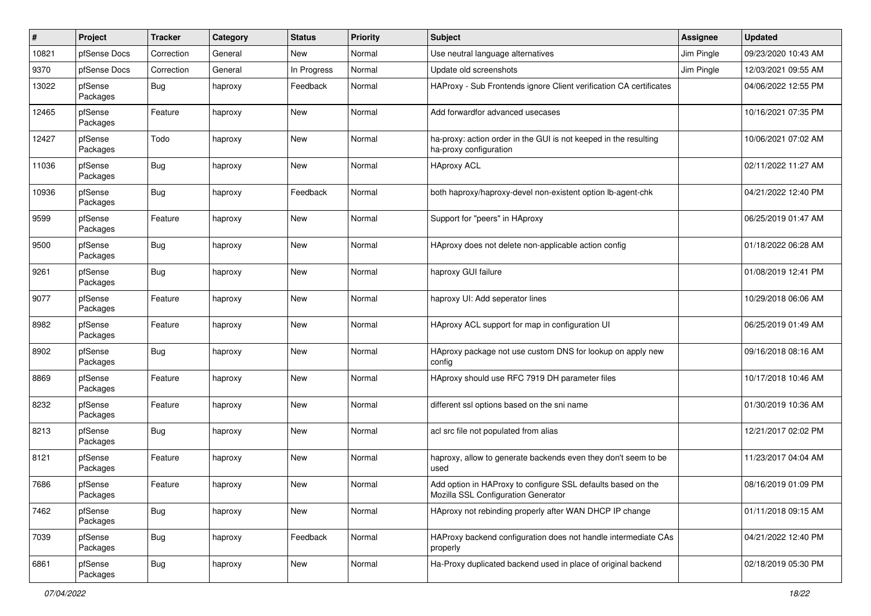| #     | Project             | <b>Tracker</b> | Category | <b>Status</b> | <b>Priority</b> | <b>Subject</b>                                                                                      | Assignee   | <b>Updated</b>      |
|-------|---------------------|----------------|----------|---------------|-----------------|-----------------------------------------------------------------------------------------------------|------------|---------------------|
| 10821 | pfSense Docs        | Correction     | General  | New           | Normal          | Use neutral language alternatives                                                                   | Jim Pingle | 09/23/2020 10:43 AM |
| 9370  | pfSense Docs        | Correction     | General  | In Progress   | Normal          | Update old screenshots                                                                              | Jim Pingle | 12/03/2021 09:55 AM |
| 13022 | pfSense<br>Packages | Bug            | haproxy  | Feedback      | Normal          | HAProxy - Sub Frontends ignore Client verification CA certificates                                  |            | 04/06/2022 12:55 PM |
| 12465 | pfSense<br>Packages | Feature        | haproxy  | New           | Normal          | Add forwardfor advanced usecases                                                                    |            | 10/16/2021 07:35 PM |
| 12427 | pfSense<br>Packages | Todo           | haproxy  | New           | Normal          | ha-proxy: action order in the GUI is not keeped in the resulting<br>ha-proxy configuration          |            | 10/06/2021 07:02 AM |
| 11036 | pfSense<br>Packages | <b>Bug</b>     | haproxy  | New           | Normal          | <b>HAproxy ACL</b>                                                                                  |            | 02/11/2022 11:27 AM |
| 10936 | pfSense<br>Packages | <b>Bug</b>     | haproxy  | Feedback      | Normal          | both haproxy/haproxy-devel non-existent option lb-agent-chk                                         |            | 04/21/2022 12:40 PM |
| 9599  | pfSense<br>Packages | Feature        | haproxy  | New           | Normal          | Support for "peers" in HAproxy                                                                      |            | 06/25/2019 01:47 AM |
| 9500  | pfSense<br>Packages | Bug            | haproxy  | New           | Normal          | HAproxy does not delete non-applicable action config                                                |            | 01/18/2022 06:28 AM |
| 9261  | pfSense<br>Packages | Bug            | haproxy  | <b>New</b>    | Normal          | haproxy GUI failure                                                                                 |            | 01/08/2019 12:41 PM |
| 9077  | pfSense<br>Packages | Feature        | haproxy  | <b>New</b>    | Normal          | haproxy UI: Add seperator lines                                                                     |            | 10/29/2018 06:06 AM |
| 8982  | pfSense<br>Packages | Feature        | haproxy  | New           | Normal          | HAproxy ACL support for map in configuration UI                                                     |            | 06/25/2019 01:49 AM |
| 8902  | pfSense<br>Packages | <b>Bug</b>     | haproxy  | New           | Normal          | HAproxy package not use custom DNS for lookup on apply new<br>config                                |            | 09/16/2018 08:16 AM |
| 8869  | pfSense<br>Packages | Feature        | haproxy  | <b>New</b>    | Normal          | HAproxy should use RFC 7919 DH parameter files                                                      |            | 10/17/2018 10:46 AM |
| 8232  | pfSense<br>Packages | Feature        | haproxy  | <b>New</b>    | Normal          | different ssl options based on the sni name                                                         |            | 01/30/2019 10:36 AM |
| 8213  | pfSense<br>Packages | Bug            | haproxy  | <b>New</b>    | Normal          | acl src file not populated from alias                                                               |            | 12/21/2017 02:02 PM |
| 8121  | pfSense<br>Packages | Feature        | haproxy  | New           | Normal          | haproxy, allow to generate backends even they don't seem to be<br>used                              |            | 11/23/2017 04:04 AM |
| 7686  | pfSense<br>Packages | Feature        | haproxy  | <b>New</b>    | Normal          | Add option in HAProxy to configure SSL defaults based on the<br>Mozilla SSL Configuration Generator |            | 08/16/2019 01:09 PM |
| 7462  | pfSense<br>Packages | Bug            | haproxy  | New           | Normal          | HAproxy not rebinding properly after WAN DHCP IP change                                             |            | 01/11/2018 09:15 AM |
| 7039  | pfSense<br>Packages | Bug            | haproxy  | Feedback      | Normal          | HAProxy backend configuration does not handle intermediate CAs<br>properly                          |            | 04/21/2022 12:40 PM |
| 6861  | pfSense<br>Packages | Bug            | haproxy  | New           | Normal          | Ha-Proxy duplicated backend used in place of original backend                                       |            | 02/18/2019 05:30 PM |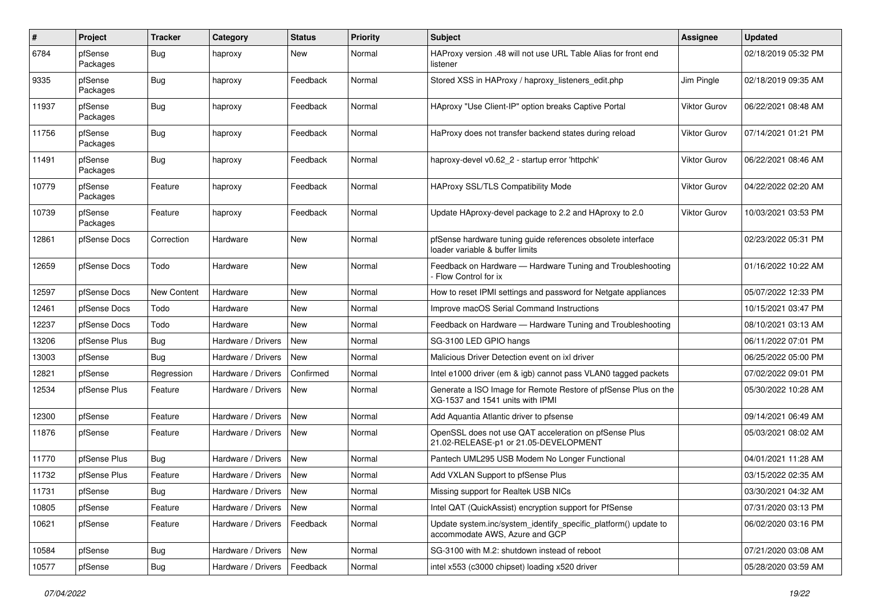| #     | Project             | <b>Tracker</b>     | Category                 | <b>Status</b> | <b>Priority</b> | <b>Subject</b>                                                                                     | Assignee            | <b>Updated</b>      |
|-------|---------------------|--------------------|--------------------------|---------------|-----------------|----------------------------------------------------------------------------------------------------|---------------------|---------------------|
| 6784  | pfSense<br>Packages | Bug                | haproxy                  | New           | Normal          | HAProxy version .48 will not use URL Table Alias for front end<br>listener                         |                     | 02/18/2019 05:32 PM |
| 9335  | pfSense<br>Packages | Bug                | haproxy                  | Feedback      | Normal          | Stored XSS in HAProxy / haproxy listeners edit.php                                                 | Jim Pingle          | 02/18/2019 09:35 AM |
| 11937 | pfSense<br>Packages | Bug                | haproxy                  | Feedback      | Normal          | HAproxy "Use Client-IP" option breaks Captive Portal                                               | <b>Viktor Gurov</b> | 06/22/2021 08:48 AM |
| 11756 | pfSense<br>Packages | Bug                | haproxy                  | Feedback      | Normal          | HaProxy does not transfer backend states during reload                                             | <b>Viktor Gurov</b> | 07/14/2021 01:21 PM |
| 11491 | pfSense<br>Packages | Bug                | haproxy                  | Feedback      | Normal          | haproxy-devel v0.62_2 - startup error 'httpchk'                                                    | Viktor Gurov        | 06/22/2021 08:46 AM |
| 10779 | pfSense<br>Packages | Feature            | haproxy                  | Feedback      | Normal          | <b>HAProxy SSL/TLS Compatibility Mode</b>                                                          | Viktor Gurov        | 04/22/2022 02:20 AM |
| 10739 | pfSense<br>Packages | Feature            | haproxy                  | Feedback      | Normal          | Update HAproxy-devel package to 2.2 and HAproxy to 2.0                                             | <b>Viktor Gurov</b> | 10/03/2021 03:53 PM |
| 12861 | pfSense Docs        | Correction         | Hardware                 | New           | Normal          | pfSense hardware tuning guide references obsolete interface<br>loader variable & buffer limits     |                     | 02/23/2022 05:31 PM |
| 12659 | pfSense Docs        | Todo               | Hardware                 | New           | Normal          | Feedback on Hardware - Hardware Tuning and Troubleshooting<br>- Flow Control for ix                |                     | 01/16/2022 10:22 AM |
| 12597 | pfSense Docs        | <b>New Content</b> | Hardware                 | New           | Normal          | How to reset IPMI settings and password for Netgate appliances                                     |                     | 05/07/2022 12:33 PM |
| 12461 | pfSense Docs        | Todo               | Hardware                 | New           | Normal          | Improve macOS Serial Command Instructions                                                          |                     | 10/15/2021 03:47 PM |
| 12237 | pfSense Docs        | Todo               | Hardware                 | New           | Normal          | Feedback on Hardware - Hardware Tuning and Troubleshooting                                         |                     | 08/10/2021 03:13 AM |
| 13206 | pfSense Plus        | Bug                | Hardware / Drivers       | New           | Normal          | SG-3100 LED GPIO hangs                                                                             |                     | 06/11/2022 07:01 PM |
| 13003 | pfSense             | Bug                | Hardware / Drivers       | New           | Normal          | Malicious Driver Detection event on ixl driver                                                     |                     | 06/25/2022 05:00 PM |
| 12821 | pfSense             | Regression         | Hardware / Drivers       | Confirmed     | Normal          | Intel e1000 driver (em & igb) cannot pass VLAN0 tagged packets                                     |                     | 07/02/2022 09:01 PM |
| 12534 | pfSense Plus        | Feature            | Hardware / Drivers       | New           | Normal          | Generate a ISO Image for Remote Restore of pfSense Plus on the<br>XG-1537 and 1541 units with IPMI |                     | 05/30/2022 10:28 AM |
| 12300 | pfSense             | Feature            | Hardware / Drivers       | <b>New</b>    | Normal          | Add Aquantia Atlantic driver to pfsense                                                            |                     | 09/14/2021 06:49 AM |
| 11876 | pfSense             | Feature            | Hardware / Drivers       | New           | Normal          | OpenSSL does not use QAT acceleration on pfSense Plus<br>21.02-RELEASE-p1 or 21.05-DEVELOPMENT     |                     | 05/03/2021 08:02 AM |
| 11770 | pfSense Plus        | <b>Bug</b>         | Hardware / Drivers       | <b>New</b>    | Normal          | Pantech UML295 USB Modem No Longer Functional                                                      |                     | 04/01/2021 11:28 AM |
| 11732 | pfSense Plus        | Feature            | Hardware / Drivers       | <b>New</b>    | Normal          | Add VXLAN Support to pfSense Plus                                                                  |                     | 03/15/2022 02:35 AM |
| 11731 | pfSense             | Bug                | Hardware / Drivers   New |               | Normal          | Missing support for Realtek USB NICs                                                               |                     | 03/30/2021 04:32 AM |
| 10805 | pfSense             | Feature            | Hardware / Drivers       | New           | Normal          | Intel QAT (QuickAssist) encryption support for PfSense                                             |                     | 07/31/2020 03:13 PM |
| 10621 | pfSense             | Feature            | Hardware / Drivers       | Feedback      | Normal          | Update system.inc/system_identify_specific_platform() update to<br>accommodate AWS, Azure and GCP  |                     | 06/02/2020 03:16 PM |
| 10584 | pfSense             | <b>Bug</b>         | Hardware / Drivers       | New           | Normal          | SG-3100 with M.2: shutdown instead of reboot                                                       |                     | 07/21/2020 03:08 AM |
| 10577 | pfSense             | <b>Bug</b>         | Hardware / Drivers       | Feedback      | Normal          | intel x553 (c3000 chipset) loading x520 driver                                                     |                     | 05/28/2020 03:59 AM |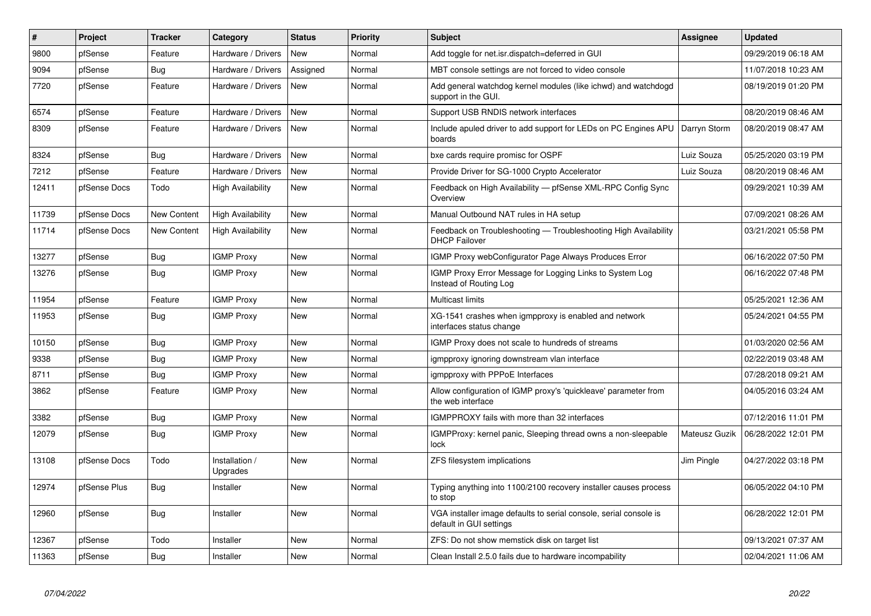| #     | Project      | <b>Tracker</b>     | Category                   | <b>Status</b> | <b>Priority</b> | <b>Subject</b>                                                                               | Assignee      | <b>Updated</b>      |
|-------|--------------|--------------------|----------------------------|---------------|-----------------|----------------------------------------------------------------------------------------------|---------------|---------------------|
| 9800  | pfSense      | Feature            | Hardware / Drivers         | New           | Normal          | Add toggle for net.isr.dispatch=deferred in GUI                                              |               | 09/29/2019 06:18 AM |
| 9094  | pfSense      | <b>Bug</b>         | Hardware / Drivers         | Assigned      | Normal          | MBT console settings are not forced to video console                                         |               | 11/07/2018 10:23 AM |
| 7720  | pfSense      | Feature            | Hardware / Drivers         | New           | Normal          | Add general watchdog kernel modules (like ichwd) and watchdogd<br>support in the GUI.        |               | 08/19/2019 01:20 PM |
| 6574  | pfSense      | Feature            | Hardware / Drivers         | <b>New</b>    | Normal          | Support USB RNDIS network interfaces                                                         |               | 08/20/2019 08:46 AM |
| 8309  | pfSense      | Feature            | Hardware / Drivers         | <b>New</b>    | Normal          | Include apuled driver to add support for LEDs on PC Engines APU<br>boards                    | Darryn Storm  | 08/20/2019 08:47 AM |
| 8324  | pfSense      | <b>Bug</b>         | Hardware / Drivers         | New           | Normal          | bxe cards require promisc for OSPF                                                           | Luiz Souza    | 05/25/2020 03:19 PM |
| 7212  | pfSense      | Feature            | Hardware / Drivers         | <b>New</b>    | Normal          | Provide Driver for SG-1000 Crypto Accelerator                                                | Luiz Souza    | 08/20/2019 08:46 AM |
| 12411 | pfSense Docs | Todo               | High Availability          | New           | Normal          | Feedback on High Availability - pfSense XML-RPC Config Sync<br>Overview                      |               | 09/29/2021 10:39 AM |
| 11739 | pfSense Docs | New Content        | <b>High Availability</b>   | New           | Normal          | Manual Outbound NAT rules in HA setup                                                        |               | 07/09/2021 08:26 AM |
| 11714 | pfSense Docs | <b>New Content</b> | <b>High Availability</b>   | New           | Normal          | Feedback on Troubleshooting - Troubleshooting High Availability<br><b>DHCP Failover</b>      |               | 03/21/2021 05:58 PM |
| 13277 | pfSense      | Bug                | <b>IGMP Proxy</b>          | New           | Normal          | IGMP Proxy webConfigurator Page Always Produces Error                                        |               | 06/16/2022 07:50 PM |
| 13276 | pfSense      | <b>Bug</b>         | <b>IGMP Proxy</b>          | New           | Normal          | IGMP Proxy Error Message for Logging Links to System Log<br>Instead of Routing Log           |               | 06/16/2022 07:48 PM |
| 11954 | pfSense      | Feature            | <b>IGMP Proxy</b>          | New           | Normal          | Multicast limits                                                                             |               | 05/25/2021 12:36 AM |
| 11953 | pfSense      | Bug                | <b>IGMP Proxy</b>          | New           | Normal          | XG-1541 crashes when igmpproxy is enabled and network<br>interfaces status change            |               | 05/24/2021 04:55 PM |
| 10150 | pfSense      | <b>Bug</b>         | <b>IGMP Proxy</b>          | New           | Normal          | IGMP Proxy does not scale to hundreds of streams                                             |               | 01/03/2020 02:56 AM |
| 9338  | pfSense      | Bug                | <b>IGMP Proxy</b>          | New           | Normal          | igmpproxy ignoring downstream vlan interface                                                 |               | 02/22/2019 03:48 AM |
| 8711  | pfSense      | <b>Bug</b>         | <b>IGMP Proxy</b>          | New           | Normal          | igmpproxy with PPPoE Interfaces                                                              |               | 07/28/2018 09:21 AM |
| 3862  | pfSense      | Feature            | <b>IGMP Proxy</b>          | New           | Normal          | Allow configuration of IGMP proxy's 'quickleave' parameter from<br>the web interface         |               | 04/05/2016 03:24 AM |
| 3382  | pfSense      | Bug                | <b>IGMP Proxy</b>          | New           | Normal          | IGMPPROXY fails with more than 32 interfaces                                                 |               | 07/12/2016 11:01 PM |
| 12079 | pfSense      | Bug                | <b>IGMP Proxy</b>          | New           | Normal          | IGMPProxy: kernel panic, Sleeping thread owns a non-sleepable<br>lock                        | Mateusz Guzik | 06/28/2022 12:01 PM |
| 13108 | pfSense Docs | Todo               | Installation /<br>Upgrades | New           | Normal          | ZFS filesystem implications                                                                  | Jim Pingle    | 04/27/2022 03:18 PM |
| 12974 | pfSense Plus | Bug                | Installer                  | <b>New</b>    | Normal          | Typing anything into 1100/2100 recovery installer causes process<br>to stop                  |               | 06/05/2022 04:10 PM |
| 12960 | pfSense      | Bug                | Installer                  | <b>New</b>    | Normal          | VGA installer image defaults to serial console, serial console is<br>default in GUI settings |               | 06/28/2022 12:01 PM |
| 12367 | pfSense      | Todo               | Installer                  | <b>New</b>    | Normal          | ZFS: Do not show memstick disk on target list                                                |               | 09/13/2021 07:37 AM |
| 11363 | pfSense      | <b>Bug</b>         | Installer                  | <b>New</b>    | Normal          | Clean Install 2.5.0 fails due to hardware incompability                                      |               | 02/04/2021 11:06 AM |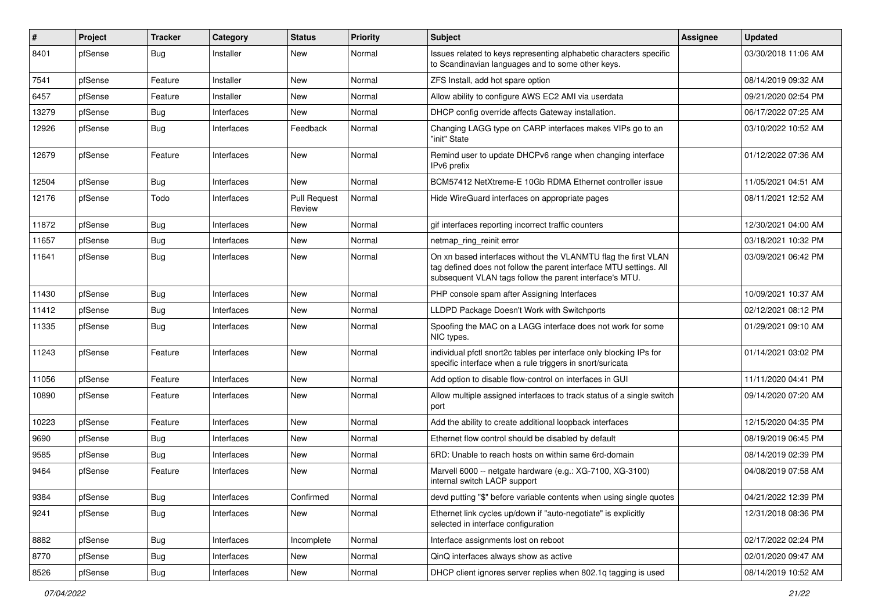| #     | Project | <b>Tracker</b> | Category   | <b>Status</b>                 | <b>Priority</b> | Subject                                                                                                                                                                                         | Assignee | <b>Updated</b>      |
|-------|---------|----------------|------------|-------------------------------|-----------------|-------------------------------------------------------------------------------------------------------------------------------------------------------------------------------------------------|----------|---------------------|
| 8401  | pfSense | Bug            | Installer  | <b>New</b>                    | Normal          | Issues related to keys representing alphabetic characters specific<br>to Scandinavian languages and to some other keys.                                                                         |          | 03/30/2018 11:06 AM |
| 7541  | pfSense | Feature        | Installer  | <b>New</b>                    | Normal          | ZFS Install, add hot spare option                                                                                                                                                               |          | 08/14/2019 09:32 AM |
| 6457  | pfSense | Feature        | Installer  | <b>New</b>                    | Normal          | Allow ability to configure AWS EC2 AMI via userdata                                                                                                                                             |          | 09/21/2020 02:54 PM |
| 13279 | pfSense | <b>Bug</b>     | Interfaces | <b>New</b>                    | Normal          | DHCP config override affects Gateway installation.                                                                                                                                              |          | 06/17/2022 07:25 AM |
| 12926 | pfSense | Bug            | Interfaces | Feedback                      | Normal          | Changing LAGG type on CARP interfaces makes VIPs go to an<br>"init" State                                                                                                                       |          | 03/10/2022 10:52 AM |
| 12679 | pfSense | Feature        | Interfaces | New                           | Normal          | Remind user to update DHCPv6 range when changing interface<br>IPv6 prefix                                                                                                                       |          | 01/12/2022 07:36 AM |
| 12504 | pfSense | Bug            | Interfaces | <b>New</b>                    | Normal          | BCM57412 NetXtreme-E 10Gb RDMA Ethernet controller issue                                                                                                                                        |          | 11/05/2021 04:51 AM |
| 12176 | pfSense | Todo           | Interfaces | <b>Pull Request</b><br>Review | Normal          | Hide WireGuard interfaces on appropriate pages                                                                                                                                                  |          | 08/11/2021 12:52 AM |
| 11872 | pfSense | <b>Bug</b>     | Interfaces | <b>New</b>                    | Normal          | gif interfaces reporting incorrect traffic counters                                                                                                                                             |          | 12/30/2021 04:00 AM |
| 11657 | pfSense | <b>Bug</b>     | Interfaces | <b>New</b>                    | Normal          | netmap_ring_reinit error                                                                                                                                                                        |          | 03/18/2021 10:32 PM |
| 11641 | pfSense | Bug            | Interfaces | <b>New</b>                    | Normal          | On xn based interfaces without the VLANMTU flag the first VLAN<br>tag defined does not follow the parent interface MTU settings. All<br>subsequent VLAN tags follow the parent interface's MTU. |          | 03/09/2021 06:42 PM |
| 11430 | pfSense | <b>Bug</b>     | Interfaces | <b>New</b>                    | Normal          | PHP console spam after Assigning Interfaces                                                                                                                                                     |          | 10/09/2021 10:37 AM |
| 11412 | pfSense | <b>Bug</b>     | Interfaces | <b>New</b>                    | Normal          | LLDPD Package Doesn't Work with Switchports                                                                                                                                                     |          | 02/12/2021 08:12 PM |
| 11335 | pfSense | <b>Bug</b>     | Interfaces | <b>New</b>                    | Normal          | Spoofing the MAC on a LAGG interface does not work for some<br>NIC types.                                                                                                                       |          | 01/29/2021 09:10 AM |
| 11243 | pfSense | Feature        | Interfaces | <b>New</b>                    | Normal          | individual pfctl snort2c tables per interface only blocking IPs for<br>specific interface when a rule triggers in snort/suricata                                                                |          | 01/14/2021 03:02 PM |
| 11056 | pfSense | Feature        | Interfaces | <b>New</b>                    | Normal          | Add option to disable flow-control on interfaces in GUI                                                                                                                                         |          | 11/11/2020 04:41 PM |
| 10890 | pfSense | Feature        | Interfaces | <b>New</b>                    | Normal          | Allow multiple assigned interfaces to track status of a single switch<br>port                                                                                                                   |          | 09/14/2020 07:20 AM |
| 10223 | pfSense | Feature        | Interfaces | <b>New</b>                    | Normal          | Add the ability to create additional loopback interfaces                                                                                                                                        |          | 12/15/2020 04:35 PM |
| 9690  | pfSense | <b>Bug</b>     | Interfaces | <b>New</b>                    | Normal          | Ethernet flow control should be disabled by default                                                                                                                                             |          | 08/19/2019 06:45 PM |
| 9585  | pfSense | <b>Bug</b>     | Interfaces | <b>New</b>                    | Normal          | 6RD: Unable to reach hosts on within same 6rd-domain                                                                                                                                            |          | 08/14/2019 02:39 PM |
| 9464  | pfSense | Feature        | Interfaces | <b>New</b>                    | Normal          | Marvell 6000 -- netgate hardware (e.g.: XG-7100, XG-3100)<br>internal switch LACP support                                                                                                       |          | 04/08/2019 07:58 AM |
| 9384  | pfSense | <b>Bug</b>     | Interfaces | Confirmed                     | Normal          | devd putting "\$" before variable contents when using single quotes                                                                                                                             |          | 04/21/2022 12:39 PM |
| 9241  | pfSense | Bug            | Interfaces | New                           | Normal          | Ethernet link cycles up/down if "auto-negotiate" is explicitly<br>selected in interface configuration                                                                                           |          | 12/31/2018 08:36 PM |
| 8882  | pfSense | Bug            | Interfaces | Incomplete                    | Normal          | Interface assignments lost on reboot                                                                                                                                                            |          | 02/17/2022 02:24 PM |
| 8770  | pfSense | Bug            | Interfaces | New                           | Normal          | QinQ interfaces always show as active                                                                                                                                                           |          | 02/01/2020 09:47 AM |
| 8526  | pfSense | Bug            | Interfaces | New                           | Normal          | DHCP client ignores server replies when 802.1q tagging is used                                                                                                                                  |          | 08/14/2019 10:52 AM |